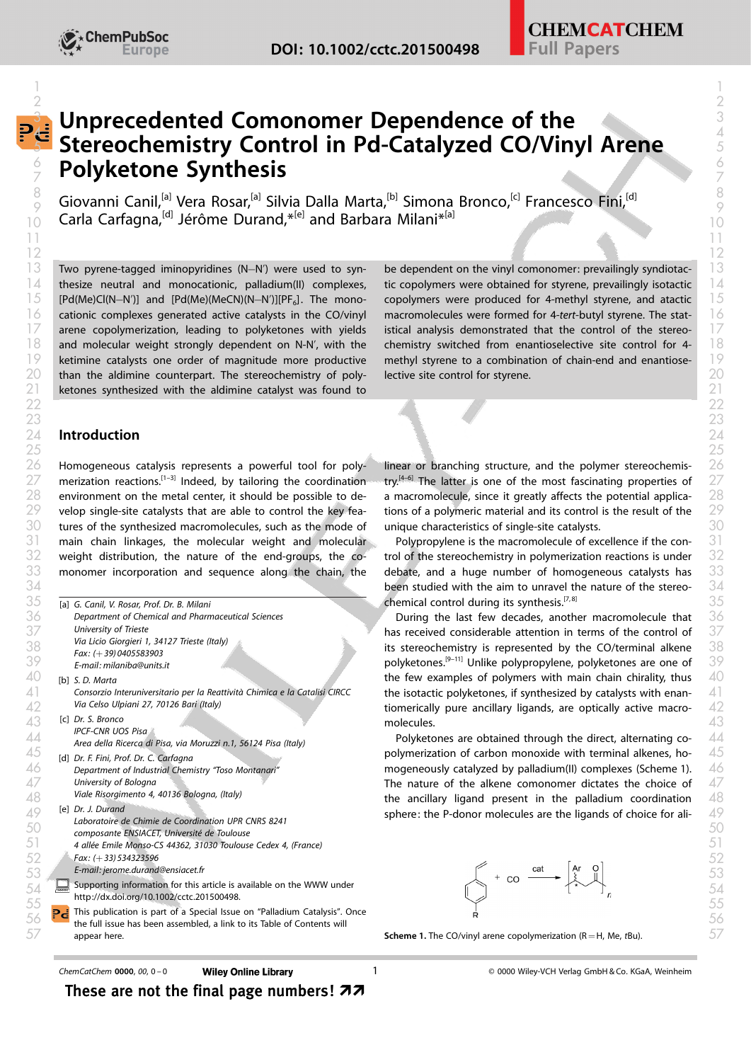

# **E** Unprecedented Comonomer Dependence of the Separation of the state of  $\frac{3}{4}$ Stereochemistry Control in Pd-Catalyzed CO/Vinyl Arene Polyketone Synthesis 6 6 2 and  $\overline{2}$  $\epsilon$  - Stereocnemistry Control in Pd-Catalyzed CO/Vinyl Arene  $\epsilon$  -  $\epsilon$ 7 7

Giovanni Canil,<sup>[a]</sup> Vera Rosar,<sup>[a]</sup> Silvia Dalla Marta,<sup>[b]</sup> Simona Bronco,<sup>[c]</sup> Francesco Fini,<sup>[d]</sup> Carla Carfagna,<sup>[d]</sup> Jérôme Durand,\*<sup>[e]</sup> and Barbara Milani<sup>\*[a]</sup>  $\frac{8}{8}$  Cinyanni Capil Mars Bosay de Cilvia Dalla Marta (b) Simona Branca (s) Erangesco Fixi (d)  $\frac{9}{9}$  given the call that was also would be a subsequently be a subsequently be  $\frac{9}{9}$  $10$  Caria Carragha, Jerome Durand,  $10$  and Barbara Milani  $\sim$ 

 Two pyrene-tagged iminopyridines (N–N') were used to syn- be dependent on the vinyl comonomer: prevailingly syndiotac- [Pd(Me)Cl(N-N')] and [Pd(Me)(MeCN)(N-N')][PF<sub>6</sub>]. The mono- than the aldimine counterpart. The stereochemistry of poly- lective site control for styrene. ketones synthesized with the aldimine catalyst was found to

#### $14$  thesize neutral and monocationic, palladium(II) complexes, tic copolymers were obtained for styrene, prevailingly isotactic  $14$  $16$  cationic complexes generated active catalysts in the CO/vinyl macromolecules were formed for 4-tert-butyl styrene. The stat-  $16$  $17$  arene copolymerization, leading to polyketones with yields istical analysis demonstrated that the control of the stereo- $17$  $18$  and molecular weight strongly dependent on N-N', with the chemistry switched from enantioselective site control for 4-  $18$  $\frac{19}{19}$  ketimine catalysts one order of magnitude more productive methyl styrene to a combination of chain-end and enantiosebe dependent on the vinyl comonomer: prevailingly syndiotactic copolymers were obtained for styrene, prevailingly isotactic  $15$  [Pd(Me)Cl(N-N')] and [Pd(Me)(MeCN)(N-N')][PF<sub>6</sub>]. The mono- copolymers were produced for 4-methyl styrene, and atactic  $15$ macromolecules were formed for 4-tert-butyl styrene. The statistical analysis demonstrated that the control of the stereochemistry switched from enantioselective site control for 4 methyl styrene to a combination of chain-end and enantioselective site control for styrene.

#### Introduction  $24$  Introduction  $24$

 Homogeneous catalysis represents a powerful tool for poly- linear or branching structure, and the polymer stereochemis merization reactions.<sup>[1-3]</sup> Indeed, by tailoring the coordination environment on the metal center, it should be possible to de- a macromolecule, since it greatly affects the potential applica- velop single-site catalysts that are able to control the key fea- tions of a polymeric material and its control is the result of the tures of the synthesized macromolecules, such as the mode of unique characteristics of single-site catalysts. main chain linkages, the molecular weight and molecular and Polypropylene is the macromolecule of excellence if the con- weight distribution, the nature of the end-groups, the co- trol of the stereochemistry in polymerization reactions is under merization reactions.<sup>[1-3]</sup> Indeed, by tailoring the coordination try.<sup>[4-6]</sup> The latter is one of the most fascinating properties of 27

|   | [a] G. Canil, V. Rosar, Prof. Dr. B. Milani                                | chemical control during its synthesis. <sup>[7,8]</sup>                     |
|---|----------------------------------------------------------------------------|-----------------------------------------------------------------------------|
|   | Department of Chemical and Pharmaceutical Sciences                         | During the last few decades, another macromolecule that                     |
|   | University of Trieste                                                      | has received considerable attention in terms of the control of              |
|   | Via Licio Giorgieri 1, 34127 Trieste (Italy)<br>Fax: $(+39)0405583903$     | its stereochemistry is represented by the CO/terminal alkene                |
|   | E-mail: milaniba@units.it                                                  | polyketones. <sup>[9-11]</sup> Unlike polypropylene, polyketones are one of |
|   | [b] S. D. Marta                                                            | the few examples of polymers with main chain chirality, thus                |
|   | Consorzio Interuniversitario per la Reattività Chimica e la Catalisi CIRCC | the isotactic polyketones, if synthesized by catalysts with enan-           |
|   | Via Celso Ulpiani 27, 70126 Bari (Italy)                                   | tiomerically pure ancillary ligands, are optically active macro-            |
|   | [c] Dr. S. Bronco                                                          | molecules.                                                                  |
|   | <b>IPCF-CNR UOS Pisa</b>                                                   |                                                                             |
|   | Area della Ricerca di Pisa, via Moruzzi n.1, 56124 Pisa (Italy)            | Polyketones are obtained through the direct, alternating co-                |
|   | [d] Dr. F. Fini, Prof. Dr. C. Carfagna                                     | polymerization of carbon monoxide with terminal alkenes, ho-                |
|   | Department of Industrial Chemistry "Toso Montanari"                        | mogeneously catalyzed by palladium(II) complexes (Scheme 1).                |
|   | University of Bologna                                                      | The nature of the alkene comonomer dictates the choice of                   |
|   | Viale Risorgimento 4, 40136 Bologna, (Italy)                               | the ancillary ligand present in the palladium coordination                  |
|   | [e] Dr. J. Durand<br>Laboratoire de Chimie de Coordination UPR CNRS 8241   | sphere: the P-donor molecules are the ligands of choice for ali-            |
|   | composante ENSIACET, Université de Toulouse                                |                                                                             |
|   | 4 allée Emile Monso-CS 44362, 31030 Toulouse Cedex 4, (France)             |                                                                             |
|   | $Fax: (+33)534323596$                                                      |                                                                             |
|   | E-mail: jerome.durand@ensiacet.fr                                          | $+$ co $\frac{\text{cat}}{\text{cat}}$                                      |
| 遣 | Supporting information for this article is available on the WWW under      |                                                                             |
|   | http://dx.doi.org/10.1002/cctc.201500498.                                  |                                                                             |
|   | Pis publication is part of a Special Issue on "Palladium Catalysis". Once  |                                                                             |
|   | the full issue has been assembled, a link to its Table of Contents will    |                                                                             |
|   | appear here.                                                               | <b>Scheme 1.</b> The CO/vinyl arene copolymerization ( $R = H$ , Me, tBu).  |
|   |                                                                            |                                                                             |

linear or branching structure, and the polymer stereochemisa macromolecule, since it greatly affects the potential applications of a polymeric material and its control is the result of the unique characteristics of single-site catalysts.

 $33$  monomer incorporation and sequence along the chain, the debate, and a huge number of homogeneous catalysts has  $33$ Polypropylene is the macromolecule of excellence if the control of the stereochemistry in polymerization reactions is under debate, and a huge number of homogeneous catalysts has  $34$  been studied with the aim to unravel the nature of the stereo-  $34$ 



These are not the final page numbers!  $\boldsymbol{z}$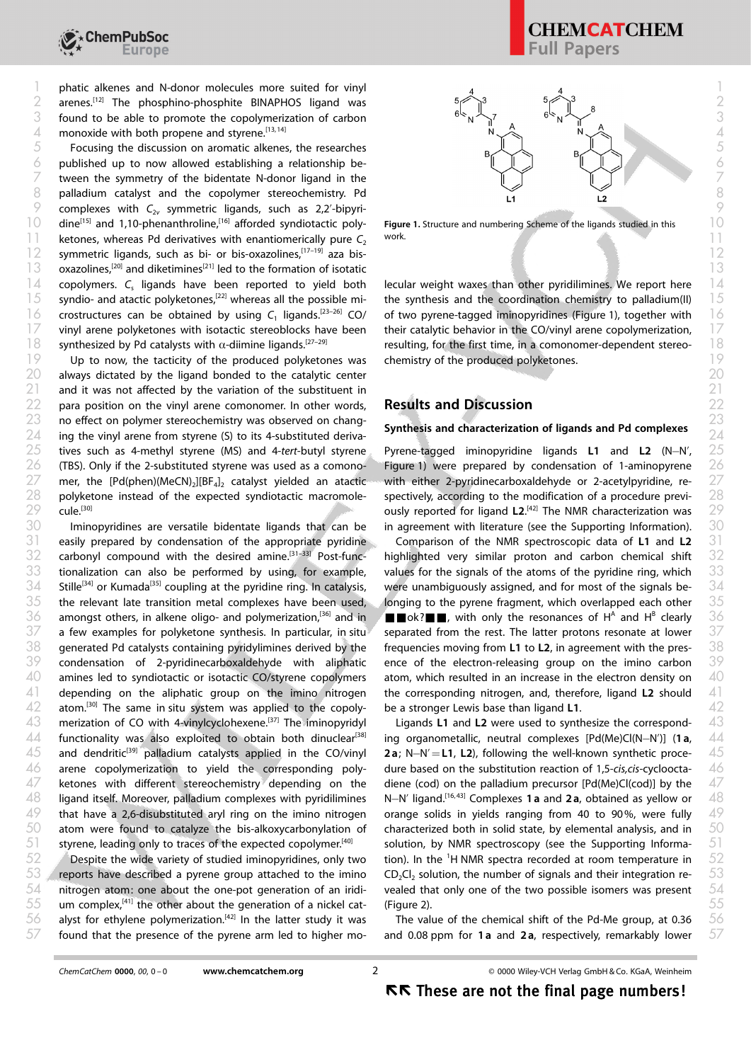1 phatic alkenes and N-donor molecules more suited for vinyl  $\frac{4}{4}$   $\frac{4}{4}$ 2 arenes.<sup>[12]</sup> The phosphino-phosphite BINAPHOS ligand was  $5\textstyle{\bigtriangleup}^{3}$   $5\textstyle{\bigtriangleup}^{3}$   $_{\rm g}$   $_{\rm g}$  $\frac{3}{2}$  found to be able to promote the copolymerization of carbon  $\frac{6.8}{1}$ ,  $\frac{6.8}{1}$ ,  $\frac{6.8}{1}$ ,  $\frac{6.8}{1}$ A monoxide with both propene and styrene.<sup>[13, 14]</sup> A  $\bigcap_{n=1}^{\infty}$  A  $\bigcap_{n=1}^{\infty}$  A  $\bigcap_{n=1}^{\infty}$  4

 $\frac{5}{10}$  Focusing the discussion on aromatic alkenes, the researches  $\frac{1}{10}$  $\phi$  published up to now allowed establishing a relationship be-  $\begin{array}{ccc} \hline \end{array}$  $\begin{bmatrix} 7 & \text{two} \end{bmatrix}$  tween the symmetry of the bidentate N-donor ligand in the  $\begin{bmatrix} 1 & 1 \end{bmatrix}$   $\begin{bmatrix} 1 & 1 \end{bmatrix}$  $8$  palladium catalyst and the copolymer stereochemistry. Pd  $\overrightarrow{1}$   $\overrightarrow{2}$   $\overrightarrow{2}$   $\overrightarrow{2}$  $\%$  complexes with  $C_{2v}$  symmetric ligands, such as 2,2'-bipyridine[15] and 1,10-phenanthroline,[16] afforded syndiotactic poly-10 10 11 ketones, whereas Pd derivatives with enantiomerically pure  $C_2$  work.  $\sim$  12 symmetric ligands, such as bi- or bis-oxazolines,<sup>[17–19]</sup> aza bis- $\sim$  13 13 oxazolines,<sup>[20]</sup> and diketimines<sup>[21]</sup> led to the formation of isotatic and the set of the set of the formation of isotatic  $14$  copolymers. C, ligands have been reported to yield both lecular weight waxes than other pyridilimines. We report here  $14$ synthesized by Pd catalysts with  $\alpha$ -diimine ligands.<sup>[27-29]</sup>

 $19$  Up to now, the tacticity of the produced polyketones was chemistry of the produced polyketones. always dictated by the ligand bonded to the catalytic center 20 20  $21$  and it was not affected by the variation of the substituent in  $21$ para position on the vinyl arene comonomer. In other words, 22 22 23 no effect on polymer stereochemistry was observed on chang-<br>23 no effect on polymer stereochemistry was observed on chang- $24$  ing the vinyl arene from styrene (S) to its 4-substituted deriva- $25$  tives such as 4-methyl styrene (MS) and 4-tert-butyl styrene Pyrene-tagged iminopyridine ligands L1 and L2 (N–N',  $25$ (TBS). Only if the 2-substituted styrene was used as a comonocule.<sup>[30]</sup>

Iminopyridines are versatile bidentate ligands that can be  $31$  easily prepared by condensation of the appropriate pyridine Comparison of the NMR spectroscopic data of L1 and L2  $31$  $42$  atom.<sup>[30]</sup> The same in situ system was applied to the copoly- be a stronger Lewis base than ligand L1.  $42$ ligand itself. Moreover, palladium complexes with pyridilimines that have a 2,6-disubstituted aryl ring on the imino nitrogen styrene, leading only to traces of the expected copolymer.<sup>[40]</sup>

Despite the wide variety of studied iminopyridines, only two  $55$  um complex,<sup>[41]</sup> the other about the generation of a nickel cat- (Figure 2).  $55$ found that the presence of the pyrene arm led to higher mo-

# **CHEMCATCHEM** Papers

Figure 1. Structure and numbering Scheme of the ligands studied in this work.

 $15$  syndio- and atactic polyketones,<sup>[22]</sup> whereas all the possible mi- the synthesis and the coordination chemistry to palladium(II)  $15$  $\frac{1}{6}$  crostructures can be obtained by using C<sub>1</sub> ligands.<sup>[23–26]</sup> CO/ of two pyrene-tagged iminopyridines (Figure 1), together with  $\frac{1}{6}$  $17$  vinyl arene polyketones with isotactic stereoblocks have been their catalytic behavior in the CO/vinyl arene copolymerization,  $17$ lecular weight waxes than other pyridilimines. We report here the synthesis and the coordination chemistry to palladium(II) of two pyrene-tagged iminopyridines (Figure 1), together with their catalytic behavior in the CO/vinyl arene copolymerization, 18 synthesized by Pd catalysts with  $\alpha$ -diimine ligands.<sup>[27-29]</sup> resulting, for the first time, in a comonomer-dependent stereochemistry of the produced polyketones.

# Results and Discussion

### Synthesis and characterization of ligands and Pd complexes

 $27$  mer, the [Pd(phen)(MeCN)<sub>2</sub>][BF<sub>4</sub>]<sub>2</sub> catalyst yielded an atactic with either 2-pyridinecarboxaldehyde or 2-acetylpyridine, re-  $28$  polyketone instead of the expected syndiotactic macromole- spectively, according to the modification of a procedure previ- Pyrene-tagged iminopyridine ligands L1 and L2 (N-N',  $26$  (TBS). Only if the 2-substituted styrene was used as a comono- Figure 1) were prepared by condensation of 1-aminopyrene with either 2-pyridinecarboxaldehyde or 2-acetylpyridine, respectively, according to the modification of a procedure previ-29 cule.<sup>[30]</sup> cule<sup>[30]</sup> cule<sup>[30]</sup> cule **and the substitution was**  $29$  cusly reported for ligand **L2**.<sup>[42]</sup> The NMR characterization was  $30$  Iminopyridines are versatile bidentate ligands that can be in agreement with literature (see the Supporting Information).

 $32$  carbonyl compound with the desired amine.<sup>[31–33]</sup> Post-func- highlighted very similar proton and carbon chemical shift  $32$  $33$  tionalization can also be performed by using, for example, values for the signals of the atoms of the pyridine ring, which  $33$  $34$  Stille<sup>[34]</sup> or Kumada<sup>[35]</sup> coupling at the pyridine ring. In catalysis, were unambiguously assigned, and for most of the signals be-  $34$  $35$  the relevant late transition metal complexes have been used, alonging to the pyrene fragment, which overlapped each other  $35$  $36$  amongst others, in alkene oligo- and polymerization,<sup>[36]</sup> and in **IFF**ok?**HI**, with only the resonances of H<sup>A</sup> and H<sup>B</sup> clearly 36  $37$  a few examples for polyketone synthesis. In particular, in situ separated from the rest. The latter protons resonate at lower  $37$  $38$  generated Pd catalysts containing pyridylimines derived by the frequencies moving from L1 to L2, in agreement with the pres-  $38$  $39$  condensation of 2-pyridinecarboxaldehyde with aliphatic ence-of-the-electron-releasing-group-on-the-imino-carbon  $39$  $40\quad$  amines led to syndiotactic or isotactic CO/styrene copolymers  $\quad$  atom, which resulted in an increase in the electron density on  $\quad$   $40$  $41$  depending on the aliphatic group on the imino nitrogen the corresponding nitrogen, and, therefore, ligand L2 should  $41$ Comparison of the NMR spectroscopic data of L1 and L2 highlighted very similar proton and carbon chemical shift values for the signals of the atoms of the pyridine ring, which were unambiguously assigned, and for most of the signals belonging to the pyrene fragment, which overlapped each other  $\blacksquare$  ok? $\blacksquare$ , with only the resonances of H<sup>A</sup> and H<sup>B</sup> clearly separated from the rest. The latter protons resonate at lower frequencies moving from L1 to L2, in agreement with the presence of the electron-releasing group on the imino carbon atom, which resulted in an increase in the electron density on the corresponding nitrogen, and, therefore, ligand L2 should be a stronger Lewis base than ligand L1.

 $43$  merization of CO with 4-vinylcyclohexene.<sup>[37]</sup> The iminopyridyl Ligands L1 and L2 were used to synthesize the correspond-  $43$ 44 functionality was also exploited to obtain both dinuclear<sup>[38]</sup> ing organometallic, neutral complexes [Pd(Me)Cl(N–N')] (1a, 44  $45$  and dendritic<sup>[39]</sup> palladium catalysts applied in the CO/vinyl 2a; N-N'=L1, L2), following the well-known synthetic proce-  $45$  $46$  arene copolymerization to yield the corresponding poly- dure-based on the substitution-reaction-of-1,5-cis,cis-cycloocta-  $46$  $47$  ketones with different stereochemistry depending on the diene (cod) on the palladium precursor [Pd(Me)Cl(cod)] by the  $47$  $50$  atom were found to catalyze the bis-alkoxycarbonylation of characterized both in solid state, by elemental analysis, and in  $-50$ 53 are ports have described a pyrene group attached to the imino  $CD_2Cl_2$  solution, the number of signals and their integration re- $54$  nitrogen atom: one about the one-pot generation of an iridi- vealed that only one of the two possible isomers was present  $\,$   $54$ Ligands L1 and L2 were used to synthesize the corresponding organometallic, neutral complexes [Pd(Me)Cl(N-N')] (1 a, **2a**; N-N' $=$ **L1**, L2), following the well-known synthetic procedure based on the substitution reaction of 1,5-cis,cis-cyclooctadiene (cod) on the palladium precursor [Pd(Me)Cl(cod)] by the  $48$  ligand itself. Moreover, palladium complexes with pyridilimines N–N' ligand.<sup>[16,43]</sup> Complexes 1a and 2a, obtained as yellow or  $-48$  $49$  that have a 2,6-disubstituted aryl ring on the imino nitrogen corange solids in yields ranging from 40 to 90%, were fully  $\,$   $49$ characterized both in solid state, by elemental analysis, and in  $51$  styrene, leading only to traces of the expected copolymer.<sup>[40]</sup> solution, by NMR spectroscopy (see the Supporting Informa-  $51$ 52 Alespite the wide variety of studied iminopyridines, only two tion). In the <sup>1</sup>H NMR spectra recorded at room temperature in 52  $CD_2Cl_2$  solution, the number of signals and their integration revealed that only one of the two possible isomers was present (Figure 2).

 $56$  alyst for ethylene polymerization.<sup>[42]</sup> In the latter study it was The value of the chemical shift of the Pd-Me group, at 0.36  $56$ The value of the chemical shift of the Pd-Me group, at 0.36  $57$  found that the presence of the pyrene arm led to higher mo- and 0.08 ppm for 1a and 2a, respectively, remarkably lower  $57$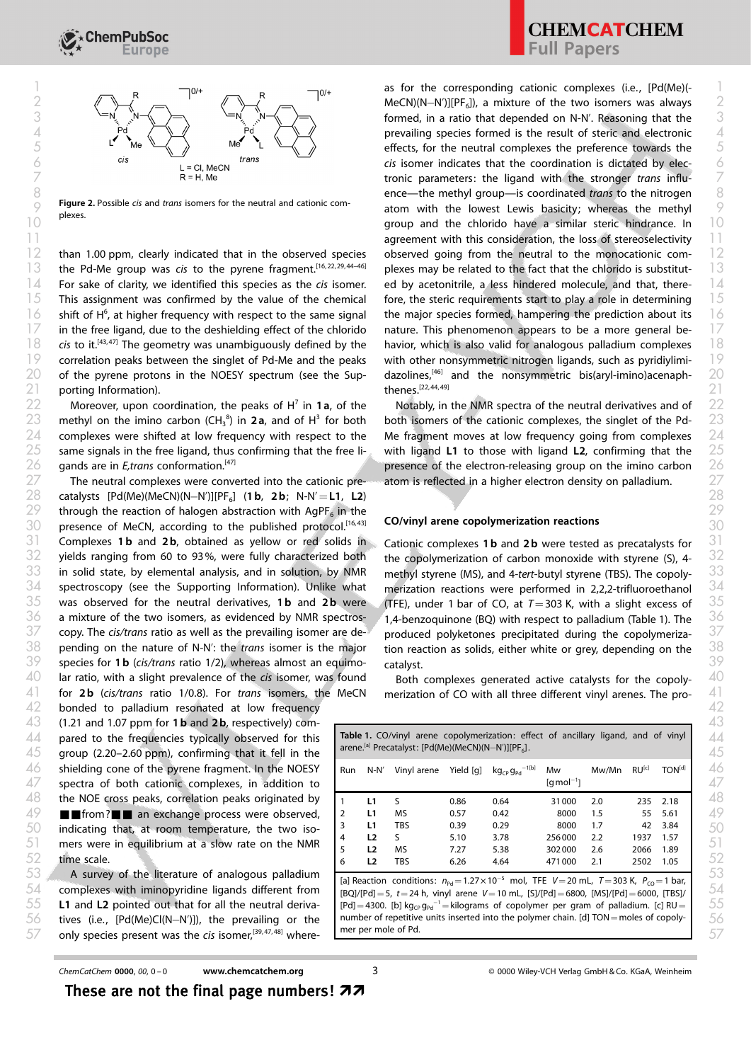

Figure 2. Possible *cis* and *trans* isomers for the neutral and cationic complexes.

For sake of clarity, we identified this species as the cis isomer. in the free ligand, due to the deshielding effect of the chlorido  $21$  porting Information).  $21$  21

 $23$  methyl on the imino carbon (CH<sub>3</sub><sup>8</sup>) in 2a, and of H<sup>3</sup> for both both isomers of the cationic complexes, the singlet of the Pd- 23  $24$  complexes were shifted at low frequency with respect to the Me fragment moves at low frequency going from complexes  $24$ same signals in the free ligand, thus confirming that the free ligands are in *E,trans* conformation.<sup>[47]</sup>  $25$  same signals in the free ligand, thus confirming that the free li- with ligand L1 to those with ligand L2, confirming that the  $\,$   $25$ 

28 catalysts [Pd(Me)(MeCN)(N-N')][PF<sub>6</sub>] (1**b, 2b;** N-N'=**L1, L2**) 28 through the reaction of halogen abstraction with AgPF<sub>6</sub> in the presence of MeCN, according to the published protocol.<sup>[16,43]</sup> CO/VINYI arene copolymerization reactions Complexes 1**b** and 2**b**, obtained as yellow or red solids in yields ranging from 60 to 93%, were fully characterized both the copolymerization of carbon monoxide with styrene (S), 4- in solid state, by elemental analysis, and in solution, by NMR methyl styrene (MS), and 4-tert-butyl styrene (TBS). The copoly- spectroscopy (see the Supporting Information). Unlike what merization reactions were performed in 2,2,2-trifluoroethanol was observed for the neutral derivatives, 1b and 2b were  $\sqrt{($ TFE), under 1 bar of CO, at  $T=$  303 K, with a slight excess of a mixture of the two isomers, as evidenced by NMR spectros-  $1,4$ -benzoquinone (BQ) with respect to palladium (Table 1). The copy. The cis/trans ratio as well as the prevailing isomer are de- pending on the nature of N-N': the trans isomer is the major tion reaction as solids, either white or grey, depending on the species for 1 b (cis/trans ratio 1/2), whereas almost an equimo- catalyst. ar ratio, with a slight prevalence of the cis isomer, was found buth complexes generated active catalysts for the copoly for 2b (cis/trans ratio 1/0.8). For trans isomers, the MeCN bonded to palladium resonated at low frequency and the set of the set of the set of the set of the set of the set of the set of the set of the set of the set of the set of the set of the set of the set of the set of 31 Complexes 1b and 2b, obtained as yellow or red solids in Cationic complexes 1b and 2b were tested as precatalysts for 31 copy. The cis/trans ratio as well as the prevailing isomer are de- produced polyketones precipitated during the copolymeriza- for 2b (cis/trans ratio 1/0.8). For trans isomers, the MeCN merization of CO with all three different vinyl arenes. The pro-

 $43$   $\,$  (1.21 and 1.07 ppm for 1 b and 2 b, respectively) com-  $\,$   $\,$ time scale.

# **CHEMCATCHEM** Full Papers

 $12$  than 1.00 ppm, clearly indicated that in the observed species observed going from the neutral to the monocationic com-  $12$  $13$  the Pd-Me group was cis to the pyrene fragment.<sup>[16,22,29,44–46]</sup> plexes may be related to the fact that the chlorido is substitut- $15$  This assignment was confirmed by the value of the chemical fore, the steric requirements start to play a role in determining  $15$  $16$  shift of H<sup>6</sup>, at higher frequency with respect to the same signal the major species formed, hampering the prediction about its  $16$  $\sqrt{18}$  cis to it.<sup>[43,47]</sup> The geometry was unambiguously defined by the havior, which is also valid for analogous palladium complexes  $\sqrt{18}$  $19$  correlation peaks between the singlet of Pd-Me and the peaks vith other nonsymmetric nitrogen ligands, such as pyridiylimi-  $19$  $20$  of the pyrene protons in the NOESY spectrum (see the Sup- dazolines,<sup>[46]</sup> and the nonsymmetric bis(aryl-imino)acenaph-  $20$ MeCN)(N-N')][PF6]), a mixture of the two isomers was always 2 2  $\begin{array}{ccc} \mathcal{S} & \xrightarrow{\iota_{\mathcal{N}}} \mathcal{N} \rightarrow \mathcal{S} \end{array}$   $\begin{array}{ccc} \mathcal{S} & \xrightarrow{\iota_{\mathcal{N}}} & \mathcal{N} \rightarrow \mathcal{N} \end{array}$  formed, in a ratio that depended on N-N'. Reasoning that the  $\mathcal{S}$ 4 and  $Pd \leqslant \sqrt{Pd \leqslant \sqrt{Pd \leqslant \sqrt{Pd \leqslant \sqrt{Pd \leqslant \sqrt{Pd \leqslant \sqrt{Pd \leqslant \sqrt{Pd \leqslant \sqrt{Pd \leqslant \sqrt{Pd \leqslant \sqrt{Pd \leqslant \sqrt{Pd \leqslant \sqrt{Pd \leqslant \sqrt{Pd \leqslant \sqrt{Pd \leqslant \sqrt{Pd \leqslant \sqrt{Pd \leqslant \sqrt{Pd \leqslant \sqrt{Pd \leqslant \sqrt{Pd \leqslant \sqrt{Pd \leqslant \sqrt{Pd \le$  $\mathcal{E}$  and  $\mathcal{E}$  and  $\mathcal{E}$  and  $\mathcal{E}$  are  $\mathcal{E}$  and  $\mathcal{E}$  are  $\mathcal{E}$  are  $\mathcal{E}$  are  $\mathcal{E}$  are  $\mathcal{E}$  are  $\mathcal{E}$  are  $\mathcal{E}$  are  $\mathcal{E}$  are  $\mathcal{E}$  are  $\mathcal{E}$  are  $\mathcal{E}$  are  $\mathcal{E}$  are  $\frac{cis}{cis}$  isomer indicates that the coordination is dictated by elec-  $\frac{cis}{cis}$  $\triangledown$  and  $\triangledown$  are  $\triangledown$  are  $\triangledown$  are tronic parameters: the ligand with the stronger trans influence—the methyl group—is coordinated trans to the nitrogen 8 8  $\gamma$  rigure z, Possible as and trans isomers for the neutral and cationic com-<br>atom with the lowest Lewis basicity; whereas the methyl and the chlorido have a similar steric hindrance. In 10 **agreement with this consideration, the loss of stereoselectivity** 11 observed going from the neutral to the monocationic complexes may be related to the fact that the chlorido is substitut- $\frac{1}{4}$  For sake of clarity, we identified this species as the cis isomer. ed by acetonitrile, a less hindered molecule, and that, there-  $\frac{1}{4}$ fore, the steric requirements start to play a role in determining the major species formed, hampering the prediction about its  $17$  in the free ligand, due to the deshielding effect of the chlorido nature. This phenomenon appears to be a more general be- $17$ havior, which is also valid for analogous palladium complexes with other nonsymmetric nitrogen ligands, such as pyridiylimidazolines,[46] and the nonsymmetric bis(aryl-imino)acenaphthenes.[22, 44, 49]

22 Moreover, upon coordination, the peaks of H<sup>7</sup> in 1a, of the Notably, in the NMR spectra of the neutral derivatives and of 22  $27$  The neutral complexes were converted into the cationic pre- atom is reflected in a higher electron density on palladium.  $27$ Notably, in the NMR spectra of the neutral derivatives and of both isomers of the cationic complexes, the singlet of the Pd-Me fragment moves at low frequency going from complexes 26 gands are in *E*, trans conformation.<sup>[47]</sup> **Example 26 presence of the electron-releasing group on the imino carbon** 26 atom is reflected in a higher electron density on palladium.

## CO/vinyl arene copolymerization reactions

the copolymerization of carbon monoxide with styrene (S), 4 methyl styrene (MS), and 4-tert-butyl styrene (TBS). The copolymerization reactions were performed in 2,2,2-trifluoroethanol (TFE), under 1 bar of CO, at  $T=303$  K, with a slight excess of 1,4-benzoquinone (BQ) with respect to palladium (Table 1). The tion reaction as solids, either white or grey, depending on the catalyst.

Both complexes generated active catalysts for the copoly-

| 40.<br>44<br>45 | (1.21 and 1.07 ppm for <b>1.6</b> and <b>2.b</b> , respectively) com-<br>pared to the frequencies typically observed for this<br>group (2.20-2.60 ppm), confirming that it fell in the | Table 1. CO/vinyl arene copolymerization: effect of ancillary ligand, and of vinyl<br>arene. <sup>[a]</sup> Precatalyst: $[Pd(Me)(MeCN)(N-N')] [PF_6]$ .                                                                                                                                                                                                          |                |             |           |                                  |                                    |       |            |                    |
|-----------------|----------------------------------------------------------------------------------------------------------------------------------------------------------------------------------------|-------------------------------------------------------------------------------------------------------------------------------------------------------------------------------------------------------------------------------------------------------------------------------------------------------------------------------------------------------------------|----------------|-------------|-----------|----------------------------------|------------------------------------|-------|------------|--------------------|
| 46<br>47        | shielding cone of the pyrene fragment. In the NOESY<br>spectra of both cationic complexes, in addition to                                                                              | Run                                                                                                                                                                                                                                                                                                                                                               | N-N′           | Vinyl arene | Yield [q] | $kg_{CP}g_{Pd}$ <sup>-1[b]</sup> | Mw<br>$\lceil q \bmod^{-1} \rceil$ | Mw/Mn | $RU^{[c]}$ | TON <sup>[d]</sup> |
| 48              | the NOE cross peaks, correlation peaks originated by                                                                                                                                   |                                                                                                                                                                                                                                                                                                                                                                   | $\blacksquare$ | $\varsigma$ | 0.86      | 0.64                             | 31000                              | 2.0   |            | 235 2.18           |
| 49              | from? an exchange process were observed,                                                                                                                                               | 2                                                                                                                                                                                                                                                                                                                                                                 | L1             | <b>MS</b>   | 0.57      | 0.42                             | 8000                               | 1.5   |            | 55 5.61            |
| 50              | indicating that, at room temperature, the two iso-                                                                                                                                     |                                                                                                                                                                                                                                                                                                                                                                   | L1             | <b>TBS</b>  | 0.39      | 0.29                             | 8000                               | 1.7   |            | 42 3.84            |
| 51              | mers were in equilibrium at a slow rate on the NMR                                                                                                                                     |                                                                                                                                                                                                                                                                                                                                                                   | $\mathbf{L}$   | ς.          | 5.10      | 3.78                             | 256000                             | 2.2   | 1937       | 1.57               |
|                 |                                                                                                                                                                                        |                                                                                                                                                                                                                                                                                                                                                                   | L <sub>2</sub> | <b>MS</b>   | 7.27      | 5.38                             | 302000                             | 2.6   | 2066       | 1.89               |
| 52              | time scale.                                                                                                                                                                            |                                                                                                                                                                                                                                                                                                                                                                   | $\mathbf{L}$   | <b>TBS</b>  | 6.26      | 4.64                             | 471000                             | 2.1   | 2502       | 1.05               |
| 53<br>54<br>55  | A survey of the literature of analogous palladium<br>complexes with iminopyridine ligands different from<br>L1 and L2 pointed out that for all the neutral deriva-                     | [a] Reaction conditions: $n_{\text{bd}} = 1.27 \times 10^{-5}$ mol, TFE V = 20 mL, T = 303 K, $P_{\text{CO}} = 1$ bar,<br>$[BO]/[Pd] = 5$ , $t = 24$ h, vinyl arene $V = 10$ mL, $[S]/[Pd] = 6800$ , $[MS]/[Pd] = 6000$ , $[TBS]/$<br>$[Pd] = 4300$ . [b] kg <sub>cp</sub> g <sub>pd</sub> <sup>-1</sup> = kilograms of copolymer per gram of palladium. [c] RU = |                |             |           |                                  |                                    |       |            |                    |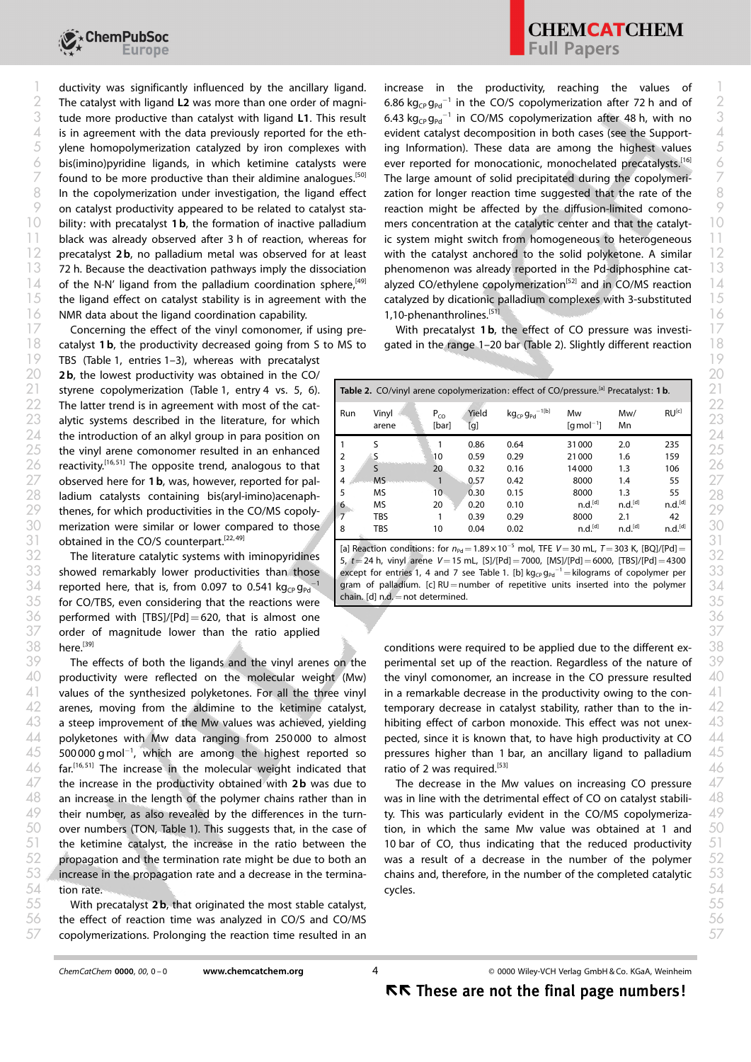

ductivity was significantly influenced by the ancillary ligand. The catalyst with ligand L2 was more than one order of magniis in agreement with the data previously reported for the ethbility: with precatalyst 1b, the formation of inactive palladium black was already observed after 3 h of reaction, whereas for the ligand effect on catalyst stability is in agreement with the  $\sim$  1.10-phenanthrolines.<sup>[51]</sup> NMR data about the ligand coordination capability.  $\sim$  1.10-phenanthrolines.<sup>[51]</sup>  $1$  ductivity was significantly influenced by the ancillary ligand. Increase in the productivity, reaching the values of  $1$ 

Concerning the effect of the vinyl comonomer, if using pre- $18$  catalyst 1b, the productivity decreased going from S to MS to gated in the range 1–20 bar (Table 2). Slightly different reaction  $18$ 

TBS (Table 1, entries 1–3), whereas with precatalyst and the control of the control of the control of the control of the control of the control of the control of the control of the control of the control of the control of 2 b, the lowest productivity was obtained in the CO/ 20 20 obtained in the CO/S counterpart.<sup>[22,49]</sup>

The literature catalytic systems with iminopyridines showed remarkably lower productivities than those reported here, that is, from 0.097 to 0.541 kg<sub>cP</sub> g<sub>Pd</sub><sup>-1</sup>  $\frac{35}{2}$  for CO/TBS, even considering that the reactions were  $\frac{1}{2}$  chain. [d] n.d. = not determined.  $36$  performed with [TBS]/[Pd] = 620, that is almost one  $36$  $37$  order of magnitude lower than the ratio applied  $37$ here.<sup>[39]</sup>

productivity were reflected on the molecular weight (Mw)  $47$  the increase in the productivity obtained with 2b was due to The decrease in the Mw values on increasing CO pressure  $47$ the ketimine catalyst, the increase in the ratio between the propagation and the termination rate might be due to both an tion rate.

 $55$  Section With precatalyst 2 b, that originated the most stable catalyst, the most stable in the most stable catalyst,  $55$  $56$  the effect of reaction time was analyzed in CO/S and CO/MS  $56$  $57$  copolymerizations. Prolonging the reaction time resulted in an  $57$ 

 $3$  tude more productive than catalyst with ligand L1. This result  $6.43\ \rm{kg_{CP}\,g_{\rm{Pd}}^{-1}}$  in CO/MS copolymerization after 48 h, with no  $3$  $5$  ylene homopolymerization catalyzed by iron complexes with ing Information). These data are among the highest values  $5$  $\acute{o}$  bis(imino)pyridine ligands, in which ketimine catalysts were ever reported for monocationic, monochelated precatalysts.<sup>[16]</sup>  $\acute{o}$  $7$  found to be more productive than their aldimine analogues.<sup>[50]</sup> The large amount of solid precipitated during the copolymeri- $8$  In the copolymerization under investigation, the ligand effect zation for longer reaction time suggested that the rate of the  $8$  $\%$  on catalyst productivity appeared to be related to catalyst sta- reaction might be affected by the diffusion-limited comono-  $\%$  $12$  precatalyst 2b, no palladium metal was observed for at least with the catalyst anchored to the solid polyketone. A similar  $12$ 13 12 h. Because the deactivation pathways imply the dissociation phenomenon was already reported in the Pd-diphosphine cat- $\frac{1}{4}$  of the N-N' ligand from the palladium coordination sphere,<sup>[49]</sup> alyzed CO/ethylene copolymerization<sup>[52]</sup> and in CO/MS reaction  $\frac{1}{4}$  $2$  The catalyst with ligand L2 was more than one order of magni- 6.86 kg<sub>CP</sub> g<sub>Pd</sub><sup>-1</sup> in the CO/S copolymerization after 72 h and of 2 6.43  $kg_{CP}g_{Pd}^{-1}$  in CO/MS copolymerization after 48 h, with no  $4$  is in agreement with the data previously reported for the eth- evident catalyst decomposition in both cases (see the Support-  $4$ ing Information). These data are among the highest values ever reported for monocationic, monochelated precatalysts.<sup>[16]</sup> The large amount of solid precipitated during the copolymerization for longer reaction time suggested that the rate of the reaction might be affected by the diffusion-limited comono- $10$  bility: with precatalyst 1b, the formation of inactive palladium mers concentration at the catalytic center and that the catalyt-  $10$  $11$  black was already observed after 3 h of reaction, whereas for ic system might switch from homogeneous to heterogeneous  $11$ with the catalyst anchored to the solid polyketone. A similar phenomenon was already reported in the Pd-diphosphine catalyzed CO/ethylene copolymerization<sup>[52]</sup> and in CO/MS reaction  $15$  the ligand effect on catalyst stability is in agreement with the catalyzed by dicationic palladium complexes with 3-substituted  $15$ 1,10-phenanthrolines.[51]

 $17$  Concerning the effect of the vinyl comonomer, if using pre-<br>With precatalyst 1b, the effect of CO pressure was investi-<br> $17$ gated in the range 1–20 bar (Table 2). Slightly different reaction

| 21       | styrene copolymerization (Table 1, entry 4 vs. 5, 6).                                                           | Table 2. CO/vinyl arene copolymerization: effect of CO/pressure. <sup>[a]</sup> Precatalyst: 1b. |                |                   |              |                                  |                                    |                            |                           |  |
|----------|-----------------------------------------------------------------------------------------------------------------|--------------------------------------------------------------------------------------------------|----------------|-------------------|--------------|----------------------------------|------------------------------------|----------------------------|---------------------------|--|
| 22<br>23 | The latter trend is in agreement with most of the cat-<br>alytic systems described in the literature, for which | Run                                                                                              | Vinyl<br>arene | $P_{CO}$<br>[bar] | Yield<br>[g] | $kg_{CP}g_{Pd}$ <sup>-1[b]</sup> | Mw<br>$\lceil q \bmod^{-1} \rceil$ | Mw/<br>Mn                  | $RU^{[c]}$                |  |
| 24<br>25 | the introduction of an alkyl group in para position on<br>the vinyl arene comonomer resulted in an enhanced     |                                                                                                  |                |                   | 0.86         | 0.64                             | 31000                              | 2.0                        | 235                       |  |
| 26       | reactivity. <sup>[16,51]</sup> The opposite trend, analogous to that                                            |                                                                                                  |                | 10<br>20          | 0.59<br>0.32 | 0.29<br>0.16                     | 21000<br>14000                     | 1.6<br>1.3                 | 159<br>106                |  |
| 27       | observed here for 1b, was, however, reported for pal-                                                           | 4 <sup>1</sup>                                                                                   | <b>MS</b>      |                   | 0.57         | 0.42                             | 8000                               | 1.4                        | 55                        |  |
| 28       | ladium catalysts containing bis(aryl-imino)acenaph-                                                             |                                                                                                  | MS<br>MS       | 10<br>20          | 0.30<br>0.20 | 0.15<br>0.10                     | 8000<br>n.d. <sup>[d]</sup>        | 1.3<br>n.d. <sup>[d]</sup> | 55<br>n.d. <sup>[d]</sup> |  |
| 29       | thenes, for which productivities in the CO/MS copoly-                                                           |                                                                                                  | TBS            |                   | 0.39         | 0.29                             | 8000                               | 2.1                        | 42                        |  |
| 30       | merization were similar or lower compared to those                                                              | 8                                                                                                | TBS            | 10                | 0.04         | 0.02                             | n.d. <sup>[d]</sup>                | n.d. <sup>[d]</sup>        | n.d. <sup>[d]</sup>       |  |

31 obtained in the CO/S counterpart.<sup>[22,49]</sup> [a] Reaction conditions: for  $n_{\text{Pd}} = 1.89 \times 10^{-5}$  mol, TFE V=30 mL, T=303 K, [BQ]/[Pd]=  $\frac{32}{\mathsf{5}}$  The literature catalytic systems with iminopyridines  $\frac{1}{\mathsf{5}}$ ,  $t=24$  h, vinyl arene  $V=15$  mL,  $\frac{[S]/[Pd]=7000}{\mathsf{5}}$ ,  $\frac{[NS]/[Pd]=6000}{\mathsf{5}}$ ,  $\frac{[TS]/[Pd]=4300}{\mathsf{5}}$ 33 showed remarkably lower productivities than those except for entries 1, 4 and 7 see Table 1. [b] kg<sub>c</sub>, g<sub>pd</sub><sup>-1</sup> = kilograms of copolymer per 33  $34$  reported here, that is, from 0.097 to 0.541 kg<sub>CP</sub> g<sub>Pd</sub><sup>-1</sup> gram of palladium. [c] RU=number of repetitive units inserted into the polymer | 34 chain.  $[d]$  n.d.  $=$  not determined.

 $39$  The effects of both the ligands and the vinyl arenes on the perimental set up of the reaction. Regardless of the nature of  $39$  $41$  values of the synthesized polyketones. For all the three vinyl in a remarkable decrease in the productivity owing to the con-  $41$  $42$  arenes, moving from the aldimine to the ketimine catalyst, temporary decrease in catalyst stability, rather than to the in-  $42$  $43\;$  a steep improvement of the Mw values was achieved, yielding hibiting effect of carbon monoxide. This effect was not unex-  $43\;$  $44$  polyketones with Mw data ranging from 250 000 to almost pected, since it is known that, to have high productivity at CO  $44$  $45$  s00000 gmol<sup>-1</sup>, which are among the highest reported so pressures higher than 1 bar, an ancillary ligand to palladium  $45$  $46$  far.<sup>[16,51]</sup> The increase in the molecular weight indicated that ratio of 2 was required.<sup>[53]</sup>  $38$  here.<sup>[39]</sup> **here.**  $38$  conditions were required to be applied due to the different experimental set up of the reaction. Regardless of the nature of  $40$  productivity were reflected on the molecular weight (Mw) the vinyl comonomer, an increase in the CO pressure resulted  $\,$   $40$ in a remarkable decrease in the productivity owing to the contemporary decrease in catalyst stability, rather than to the inhibiting effect of carbon monoxide. This effect was not unexpected, since it is known that, to have high productivity at CO pressures higher than 1 bar, an ancillary ligand to palladium ratio of 2 was required.<sup>[53]</sup>

 $48$  an increase in the length of the polymer chains rather than in was in line with the detrimental effect of CO on catalyst stabili-  $\,$   $48$  $49$  their number, as also revealed by the differences in the turn- ty. This was particularly evident in the CO/MS copolymeriza-  $49$  $50$  over numbers (TON, Table 1). This suggests that, in the case of tion, in which the same Mw value was obtained at 1 and  $50$  $53$   $\%$  increase in the propagation rate and a decrease in the termina- chains and, therefore, in the number of the completed catalytic  $-53$ The decrease in the Mw values on increasing CO pressure was in line with the detrimental effect of CO on catalyst stability. This was particularly evident in the CO/MS copolymerization, in which the same Mw value was obtained at 1 and  $51$  the ketimine catalyst, the increase in the ratio between the 10 bar of CO, thus indicating that the reduced productivity  $51$  $52$  propagation and the termination rate might be due to both an was a result of a decrease in the number of the polymer  $52$ chains and, therefore, in the number of the completed catalytic cycles.  $54$  tion rate.  $54$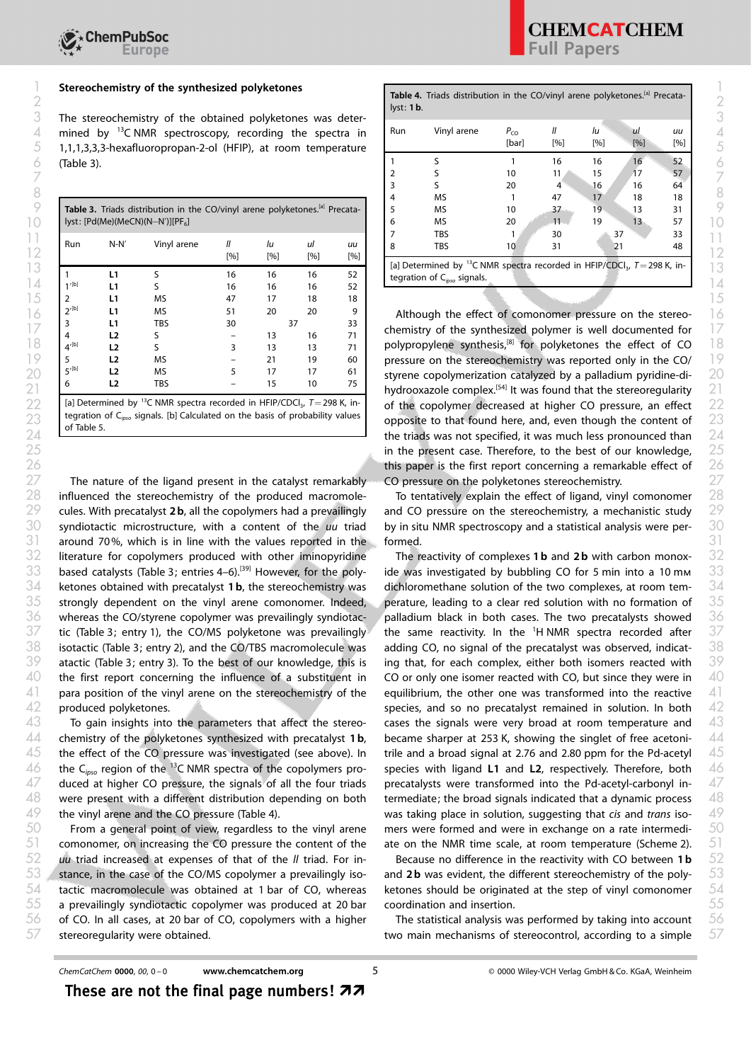| Run                            | $N-N'$         | Vinyl arene | [%] | lu<br>[%] | ul<br>[%] | uи<br>[%] | <b>TBS</b><br>33<br>30<br>37<br><b>TBS</b><br>8<br>10<br>48<br>31                                   |
|--------------------------------|----------------|-------------|-----|-----------|-----------|-----------|-----------------------------------------------------------------------------------------------------|
|                                |                |             |     |           |           |           | [a] Determined by <sup>13</sup> C NMR spectra recorded in HFIP/CDCI <sub>3</sub> , $T = 298$ K, in- |
|                                | l 1            |             | 16  | 16        | 16        | 52        | tegration of $C_{inso}$ signals.                                                                    |
| 1/[b]                          |                |             | 16  | 16        | 16        | 52        |                                                                                                     |
|                                |                | MS          | 47  | 17        | 18        | 18        |                                                                                                     |
| $2^{\prime(b)}$                |                | <b>MS</b>   | 51  | 20        | 20        |           | Although the effect of comonomer pressure on the stereo-                                            |
|                                |                | TBS         | 30  |           |           | 33        |                                                                                                     |
|                                |                |             |     | 13        | 16        |           | chemistry of the synthesized polymer is well documented for                                         |
| $\Lambda^{\prime[\mathsf{b}]}$ | נ ו            |             |     | 13        | 13        |           | polypropylene synthesis, <sup>[8]</sup> for polyketones the effect of CO                            |
|                                | L <sub>2</sub> | <b>MS</b>   |     | 21        | 19        | 60        | pressure on the stereochemistry was reported only in the CO/                                        |
| $5$ '[b]                       | $\mathbf{L}$   | MS.         |     | 17        | 17        | 61        | styrene copolymerization catalyzed by a palladium pyridine-di-                                      |
|                                |                | TBS         |     | 15        | 10        | 75        | hydrooxazole complex. <sup>[54]</sup> It was found that the stereoregularity                        |

[a] Determined by <sup>13</sup>C NMR spectra recorded in HFIP/CDCl<sub>3</sub>,  $T=298$  K, integration of C<sub>isso</sub> signals. [b] Calculated on the basis of probability values of Table 5.

 $27$  The nature of the ligand present in the catalyst remarkably  $\sim$  CO pressure on the polyketones stereochemistry.  $27$  $28$  influenced the stereochemistry of the produced macromole- To tentatively explain the effect of ligand, vinyl comonomer  $28$  $31$  around 70%, which is in line with the values reported in the formed.  $32$  literature for copolymers produced with other iminopyridine The reactivity of complexes **1b** and **2b** with carbon monox-  $32$ based catalysts (Table 3; entries 4–6).<sup>[39]</sup> However, for the polywhereas the CO/styrene copolymer was prevailingly syndiotacproduced polyketones.

To gain insights into the parameters that affect the stereowere present with a different distribution depending on both the vinyl arene and the CO pressure (Table 4).

 $52$  uu triad increased at expenses of that of the II triad. For in-<br>Because no difference in the reactivity with CO between 1b  $52$  $56$  of CO. In all cases, at 20 bar of CO, copolymers with a higher The statistical analysis was performed by taking into account  $56$ stereoregularity were obtained.

| Stereochemistry of the synthesized polyketones |                                    |                                                                                                                                                                                              |  |    |    |    |     | Table 4. Triads distribution in the CO/vinyl arene polyketones.[a] Precata-<br>lyst: 1b. |                   |                 |           |     |           |  |  |
|------------------------------------------------|------------------------------------|----------------------------------------------------------------------------------------------------------------------------------------------------------------------------------------------|--|----|----|----|-----|------------------------------------------------------------------------------------------|-------------------|-----------------|-----------|-----|-----------|--|--|
|                                                |                                    | The stereochemistry of the obtained polyketones was deter-<br>mined by $^{13}$ C NMR spectroscopy, recording the spectra in<br>1,1,1,3,3,3-hexafluoropropan-2-ol (HFIP), at room temperature |  |    |    |    | Run | Vinyl arene                                                                              | $P_{CO}$<br>[bar] | [%]             | Iи<br>[%] | [%] | иu<br>[%] |  |  |
| (Table 3).                                     |                                    |                                                                                                                                                                                              |  |    |    |    |     |                                                                                          |                   | 16              | 16        | 16  | 52        |  |  |
|                                                |                                    |                                                                                                                                                                                              |  |    |    |    |     |                                                                                          | 10                | 11 <sub>1</sub> | 15        | 17  | 57        |  |  |
|                                                |                                    |                                                                                                                                                                                              |  |    |    |    |     |                                                                                          | 20                |                 | 16        | 16  | 64        |  |  |
|                                                |                                    |                                                                                                                                                                                              |  |    |    |    |     | <b>MS</b>                                                                                |                   | 47              | 17        | 18  | 18        |  |  |
|                                                |                                    | Table 3. Triads distribution in the CO/vinyl arene polyketones.[a] Precata-                                                                                                                  |  |    |    |    |     | <b>MS</b>                                                                                | 10                | 37              | 19        | 13  | 31        |  |  |
|                                                | lyst: $[Pd(Me)(MeCN)(N-N')][PF_6]$ |                                                                                                                                                                                              |  |    |    |    | n   | <b>MS</b>                                                                                | 20                | $11 -$          | 19        | 13  | 57        |  |  |
|                                                |                                    |                                                                                                                                                                                              |  |    |    |    |     | <b>TBS</b>                                                                               |                   | 30              |           | 37  | 33        |  |  |
| Run                                            | $N-N'$                             | Vinyl arene                                                                                                                                                                                  |  | Iи | ul | uu | 8   | <b>TBS</b>                                                                               | 10                | 31              |           |     | 48        |  |  |

 $\begin{bmatrix} 2^{10} & 1 & 0 \ 0 & 2^{10} & 1 & 0 \end{bmatrix}$  and  $\begin{bmatrix} 2^{10} & 2^{10} & 2^{10} & 2^{10} \ 0 & 2^{10} & 2^{10} & 2^{10} \end{bmatrix}$  Although the effect of comonomer pressure on the stereo- $\begin{bmatrix} 2 \ 4 \end{bmatrix}$  =  $\begin{bmatrix} 17 \ 18 \end{bmatrix}$  =  $\begin{bmatrix} 2 \ 18 \end{bmatrix}$  =  $\begin{bmatrix} 17 \ 16 \end{bmatrix}$  =  $\begin{bmatrix} 17 \ 18 \end{bmatrix}$  = chemistry of the synthesized polymer is well documented for  $\begin{bmatrix} 7 \end{bmatrix}$  $\begin{array}{ccc} 18 & 4^{(b)} & 12 & 5 & 3 & 13 & 13 & 71 \end{array}$  polypropylene synthesis,<sup>[8]</sup> for polyketones the effect of CO  $\begin{array}{ccc} 18 & 18 & 12 & 12 \end{array}$  $\begin{array}{ccc} \n\begin{array}{ccc} \n\end{array}$  **19**  $\begin{array}{ccc} \n\end{array}$  **19**  $\begin{array}{ccc} \n\end{array}$  of  $\begin{array}{ccc} \n\end{array}$  pressure on the stereochemistry was reported only in the CO/  $\begin{array}{ccc} \n\end{array}$  $\frac{20}{5}$   $\frac{15}{12}$   $\frac{17}{12}$   $\frac{17}{12}$   $\frac{1}{12}$   $\frac{1}{12}$  styrene copolymerization catalyzed by a palladium pyridine-di- 20  $\frac{1}{21}$   $\frac{1}{21}$   $\frac{1}{21}$   $\frac{1}{21}$  hydrooxazole complex.<sup>[54]</sup> It was found that the stereoregularity 21 22 al Determined by <sup>13</sup>C NMR spectra recorded in HFIP/CDCI<sub>3</sub>,  $\tau$ =298 K, in-<br>of the copolymer decreased at higher CO pressure, an effect 22  $23$  regration of  $\epsilon_{\text{gas}}$  signals. [b] Calculated on the basis of probability values opposite to that found here, and, even though the content of 23 24 **19 Telecommunity** the triads was not specified, it was much less pronounced than 24 in the present case. Therefore, to the best of our knowledge, 25 25 this paper is the first report concerning a remarkable effect of 26 26 CO pressure on the polyketones stereochemistry.

 $29$  cules. With precatalyst 2b, all the copolymers had a prevailingly and CO pressure on the stereochemistry, a mechanistic study  $29$  $30$  syndiotactic microstructure, with a content of the uu triad by insitu NMR spectroscopy and a statistical analysis were per-  $30$ To tentatively explain the effect of ligand, vinyl comonomer and CO pressure on the stereochemistry, a mechanistic study by in situ NMR spectroscopy and a statistical analysis were performed.

 $34$  ketones obtained with precatalyst 1b, the stereochemistry was dichloromethane solution of the two complexes, at room tem-  $34$  $35$  strongly dependent on the vinyl arene comonomer. Indeed, perature, leading to a clear red solution with no formation of  $35$  $37$  tic (Table 3; entry 1), the CO/MS polyketone was prevailingly the same reactivity. In the <sup>1</sup>H NMR spectra recorded after  $37$  $38$  isotactic (Table 3; entry 2), and the CO/TBS macromolecule was adding CO, no signal of the precatalyst was observed, indicat-  $38$  $39$  atactic (Table 3; entry 3). To the best of our knowledge, this is ing that, for each complex, either both isomers reacted with  $39$  $40$  the first report concerning the influence of a substituent in  $\;\;$  CO or only one isomer reacted with CO, but since they were in  $\;\;$   $40$  $41$  para position of the vinyl arene on the stereochemistry of the equilibrium, the other one was transformed into the reactive  $41$  $44$  chemistry of the polyketones synthesized with precatalyst 1b, became sharper at 253 K, showing the singlet of free acetoni-  $44$  $45$  the effect of the CO pressure was investigated (see above). In trile and a broad signal at 2.76 and 2.80 ppm for the Pd-acetyl  $\,$   $45$  $46$  the C<sub>ipso</sub> region of the <sup>13</sup>C NMR spectra of the copolymers pro- species with ligand L1 and L2, respectively. Therefore, both 46  $47$  duced at higher CO pressure, the signals of all the four triads precatalysts were transformed into the Pd-acetyl-carbonyl in-  $47$  $50$  From a general point of view, regardless to the vinyl arene mers were formed and were in exchange on a rate intermedi-  $50$  $51$  comonomer, on increasing the CO pressure the content of the ate on the NMR time scale, at room temperature (Scheme 2).  $51$ The reactivity of complexes 1b and 2b with carbon monox- $33$  based catalysts (Table 3; entries 4–6).<sup>[39]</sup> However, for the poly- ide was investigated by bubbling CO for 5 min into a 10 mm  $33$ dichloromethane solution of the two complexes, at room temperature, leading to a clear red solution with no formation of  $36$  whereas the CO/styrene copolymer was prevailingly syndiotac- palladium black in both cases. The two precatalysts showed  $36$ the same reactivity. In the <sup>1</sup>H NMR spectra recorded after adding CO, no signal of the precatalyst was observed, indicating that, for each complex, either both isomers reacted with CO or only one isomer reacted with CO, but since they were in equilibrium, the other one was transformed into the reactive species, and so no precatalyst remained in solution. In both 42 produced polyketones.  $43$  To gain insights into the parameters that affect the stereo- cases the signals were very broad at room temperature and  $43$ became sharper at 253 K, showing the singlet of free acetonitrile and a broad signal at 2.76 and 2.80 ppm for the Pd-acetyl species with ligand L1 and L2, respectively. Therefore, both precatalysts were transformed into the Pd-acetyl-carbonyl in- $48$  were present with a different distribution depending on both termediate; the broad signals indicated that a dynamic process  $\,$   $48$ 49 the vinyl arene and the CO pressure (Table 4). Was taking place in solution, suggesting that cis and trans isomers were formed and were in exchange on a rate intermediate on the NMR time scale, at room temperature (Scheme 2).

53  $\%$  stance, in the case of the CO/MS copolymer a prevailingly iso- and 2b was evident, the different stereochemistry of the poly- 53  $54$  tactic macromolecule was obtained at 1 bar of CO, whereas ketones should be originated at the step of vinyl comonomer  $54$  $55$  a prevailingly syndiotactic copolymer was produced at 20 bar coordination and insertion. Because no difference in the reactivity with CO between 1 b and 2b was evident, the different stereochemistry of the polyketones should be originated at the step of vinyl comonomer coordination and insertion.

The statistical analysis was performed by taking into account  $57$  stereoregularity were obtained.  $57$  stereocontrol, according to a simple  $57$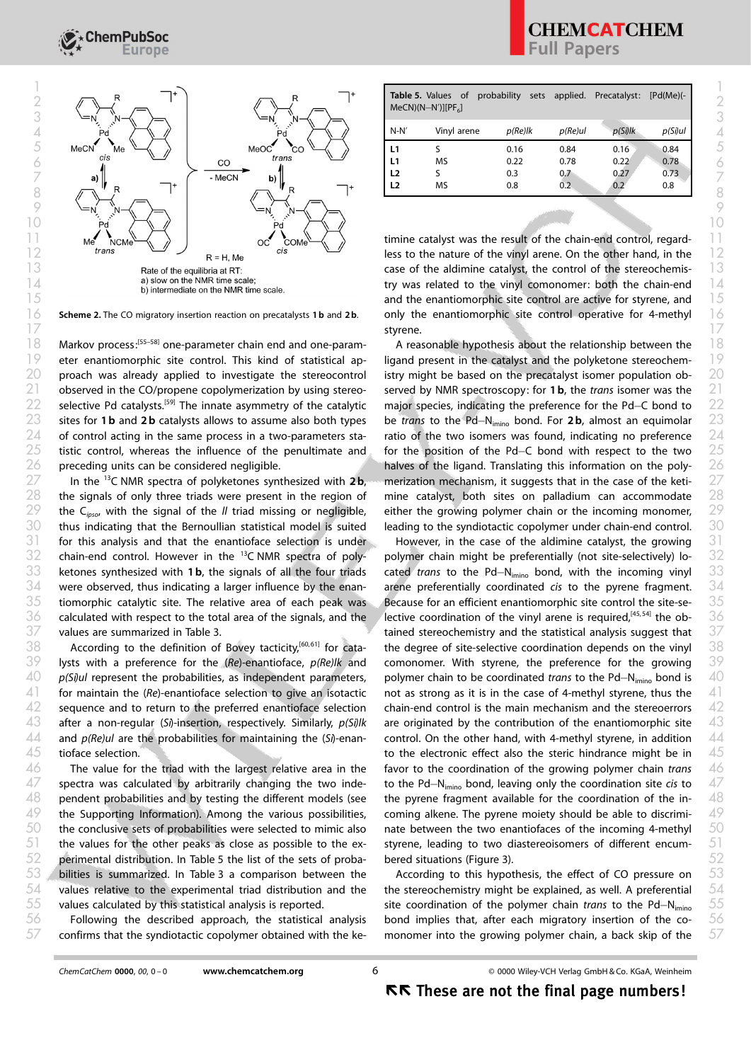

Scheme 2. The CO migratory insertion reaction on precatalysts 1 b and 2 b.

 $18$  Markov process:<sup>[55–58]</sup> one-parameter chain end and one-param-<br>A reasonable hypothesis about the relationship between the  $18$ tistic control, whereas the influence of the penultimate and preceding units can be considered negligible.

In the  $^{13}$ C NMR spectra of polyketones synthesized with 2b, ketones synthesized with 1 b, the signals of all the four triads calculated with respect to the total area of the signals, and the values are summarized in Table 3.

According to the definition of Bovey tacticity, $[60, 61]$  for catatioface selection.

The value for the triad with the largest relative area in the pendent probabilities and by testing the different models (see  $53$   $\degree$  bilities is summarized. In Table 3 a comparison between the According to this hypothesis, the effect of CO pressure on  $\,$   $\,53$ values calculated by this statistical analysis is reported.

Following the described approach, the statistical analysis confirms that the syndiotactic copolymer obtained with the ke-

| $MeCN)(N-N')$ [ $PF_6$ ] | <b>Table 5.</b> Values of probability sets applied. Precatalyst: |            |            |            | $[Pd(Me)(-$ |
|--------------------------|------------------------------------------------------------------|------------|------------|------------|-------------|
| $N-N'$                   | Vinyl arene                                                      | $p(Re)$ lk | $p(Re)$ ul | $p(Si)$ lk | $p(Si)$ ul  |
| L1                       |                                                                  | 0.16       | 0.84       | 0.16       | 0.84        |
| L1                       | MS                                                               | 0.22       | 0.78       | 0.22       | 0.78        |
| L <sub>2</sub>           |                                                                  | 0.3        | 0.7        | 0.27       | 0.73        |
| L <sub>2</sub>           | MS                                                               | 0.8        | 0.2        | 0.2        | 0.8         |
|                          |                                                                  |            |            |            |             |

**and the enantiomorphic site control are active for styrene, and 15** 15  $\frac{1}{6}$  Scheme 2. The CO migratory insertion reaction on precatalysts 1b and 2b. only the enantiomorphic site control operative for 4-methyl  $\frac{1}{6}$ styrene. 17 **styrene.** The contract of the contract of the contract of the contract of the contract of the contract of the contract of the contract of the contract of the contract of the contract of the contract of the contract of

19 eter enantiomorphic site control. This kind of statistical ap- ligand present in the catalyst and the polyketone stereochem- 19  $20$  proach was already applied to investigate the stereocontrol istry might be based on the precatalyst isomer population ob-  $20$ 21 observed in the CO/propene copolymerization by using stereo- served by NMR spectroscopy: for 1b, the trans isomer was the 21 22 selective Pd catalysts.<sup>[59]</sup> The innate asymmetry of the catalytic major species, indicating the preference for the Pd–C bond to 22 23 sites for 1b and 2b catalysts allows to assume also both types be trans to the Pd-N<sub>imino</sub> bond. For 2b, almost an equimolar 23  $24$  of control acting in the same process in a two-parameters sta- ratio of the two isomers was found, indicating no preference  $24$  $28$  the signals of only three triads were present in the region of mine catalyst, both sites on palladium can accommodate  $28$ 29 the C<sub>ipso</sub>, with the signal of the *II* triad missing or negligible, either the growing polymer chain or the incoming monomer, 29  $30$  thus indicating that the Bernoullian statistical model is suited leading to the syndiotactic copolymer under chain-end control.  $\,$   $30$ A reasonable hypothesis about the relationship between the ligand present in the catalyst and the polyketone stereochemistry might be based on the precatalyst isomer population observed by NMR spectroscopy: for 1b, the trans isomer was the major species, indicating the preference for the Pd-C bond to be trans to the Pd-N<sub>imino</sub> bond. For 2b, almost an equimolar ratio of the two isomers was found, indicating no preference  $25$  tistic control, whereas the influence of the penultimate and for the position of the Pd-C bond with respect to the two  $25$ 26 preceding units can be considered negligible.  $\blacksquare$  halves of the ligand. Translating this information on the poly-  $26$  $27$  In the <sup>13</sup>C NMR spectra of polyketones synthesized with 2b, merization mechanism, it suggests that in the case of the keti-  $27$ mine catalyst, both sites on palladium can accommodate either the growing polymer chain or the incoming monomer, leading to the syndiotactic copolymer under chain-end control.

 $31$  for this analysis and that the enantioface selection is under and However, in the case of the aldimine catalyst, the growing  $31$  $32$  chain-end control. However in the <sup>13</sup>C NMR spectra of poly- polymer chain might be preferentially (not site-selectively) lo-  $32$  $34$  were observed, thus indicating a larger influence by the enan- arene preferentially coordinated cis to the pyrene fragment.  $34$  $35$  tiomorphic catalytic site. The relative area of each peak was Because for an efficient enantiomorphic site control the site-se-  $35$  $39$  lysts with a preference for the (Re)-enantioface,  $p$ (Re)/k and comonomer. With styrene, the preference for the growing  $39$  $40$  p(Si)ul represent the probabilities, as independent parameters, polymer chain to be coordinated trans to the Pd–N<sub>imino</sub> bond is  $40$  $41$  for maintain the (Re)-enantioface selection to give an isotactic and as strong as it is in the case of 4-methyl styrene, thus the  $-41$  $42$  sequence and to return to the preferred enantioface selection chain-end control is the main mechanism and the stereoerrors  $42$  $43$  after a non-regular (S1)-insertion, respectively. Similarly,  $p(Si)lk$  are originated by the contribution of the enantiomorphic site  $\quad 43$  $44$  and p(Re)ul are the probabilities for maintaining the (Si)-enan- control. On the other hand, with 4-methyl styrene, in addition  $44$  $47$  spectra was calculated by arbitrarily changing the two inde- to the Pd-N<sub>imino</sub> bond, leaving only the coordination site cis to  $47$  $49$  the Supporting Information). Among the various possibilities, coming alkene. The pyrene moiety should be able to discrimi-  $49$  $50$  the conclusive sets of probabilities were selected to mimic also nate between the two enantiofaces of the incoming 4-methyl  $-50$  $51$  the values for the other peaks as close as possible to the ex- styrene, leading to two diastereoisomers of different encum-  $51$ perimental distribution. In Table 5 the list of the sets of proba-52 52 However, in the case of the aldimine catalyst, the growing polymer chain might be preferentially (not site-selectively) lo-33 ketones synthesized with 1b, the signals of all the four triads cated *trans* to the Pd-N<sub>imino</sub> bond, with the incoming vinyl 33 arene preferentially coordinated cis to the pyrene fragment. Because for an efficient enantiomorphic site control the site-se- $36$  calculated with respect to the total area of the signals, and the lective coordination of the vinyl arene is required,<sup>[45,54]</sup> the ob-  $36$  $37$  values are summarized in Table 3.  $\blacksquare$  tained stereochemistry and the statistical analysis suggest that  $37$  $38$  According to the definition of Bovey tacticity,<sup>[60,61]</sup> for cata- the degree of site-selective coordination depends on the vinyl  $38$ comonomer. With styrene, the preference for the growing polymer chain to be coordinated trans to the Pd-N<sub>imino</sub> bond is not as strong as it is in the case of 4-methyl styrene, thus the chain-end control is the main mechanism and the stereoerrors are originated by the contribution of the enantiomorphic site control. On the other hand, with 4-methyl styrene, in addition  $45$  tioface selection.  $45$  tioface selection.  $46$  The value for the triad with the largest relative area in the favor to the coordination of the growing polymer chain trans  $46$ to the Pd-N<sub>imino</sub> bond, leaving only the coordination site cis to  $48$  pendent probabilities and by testing the different models (see the pyrene fragment available for the coordination of the in-  $48$ coming alkene. The pyrene moiety should be able to discriminate between the two enantiofaces of the incoming 4-methyl styrene, leading to two diastereoisomers of different encumbered situations (Figure 3).

 values relative to the experimental triad distribution and the the stereochemistry might be explained, as well. A preferential  $54$ According to this hypothesis, the effect of CO pressure on the stereochemistry might be explained, as well. A preferential values calculated by this statistical analysis is reported. Site coordination of the polymer chain trans to the Pd-N<sub>imino</sub> 55 Following the described approach, the statistical analysis bond implies that, after each migratory insertion of the co-  $56$ confirms that the syndiotactic copolymer obtained with the ke- monomer into the growing polymer chain, a back skip of the  $57$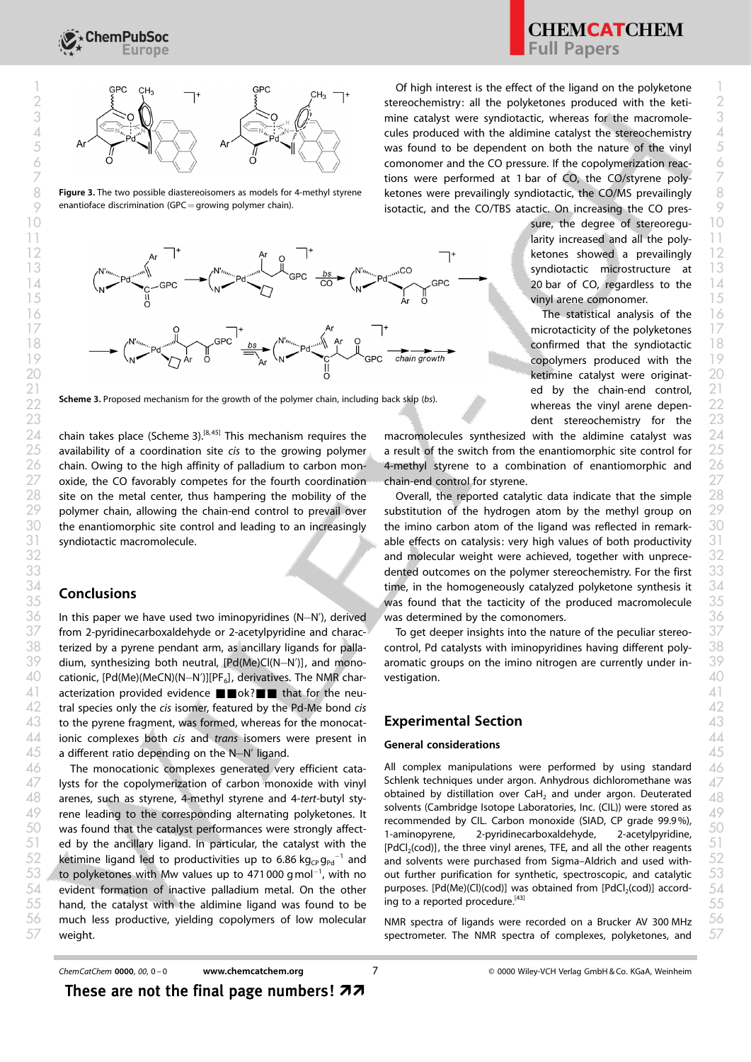

 $8$  Figure 3. The two possible diastereoisomers as models for 4-methyl styrene ketones were prevailingly syndiotactic, the CO/MS prevailingly  $8$  $\%$  enantioface discrimination (GPC = growing polymer chain). The state isotactic, and the CO/TBS atactic. On increasing the CO pres-  $\%$ Figure 3. The two possible diastereoisomers as models for 4-methyl styrene enantioface discrimination ( $GPC =$ growing polymer chain).



Scheme 3. Proposed mechanism for the growth of the polymer chain, including back skip (bs). Whereas the vinyl arene depen-<br>22

 chain takes place (Scheme 3).<sup>[8, 45]</sup> This mechanism requires the macromolecules synthesized with the aldimine catalyst was site on the metal center, thus hampering the mobility of the polymer chain, allowing the chain-end control to prevail over substitution of the hydrogen atom by the methyl group on the enantiomorphic site control and leading to an increasingly the imino carbon atom of the ligand was reflected in remark syndiotactic macromolecule. site on the metal center, thus hampering the mobility of the Coverall, the reported catalytic data indicate that the simple

# **Conclusions**

 from 2-pyridinecarboxaldehyde or 2-acetylpyridine and charac- $\,$  To get deeper insights into the nature of the peculiar stereo-  $\,37$  terized by a pyrene pendant arm, as ancillary ligands for palla- control, Pd catalysts with iminopyridines having different poly-  $38$ dium, synthesizing both neutral, [Pd(Me)Cl(N-N')], and mono- cationic, [Pd(Me)(MeCN)(N–N')][PF<sub>6</sub>], derivatives. The NMR char- vestigation.  $40$  acterization provided evidence  $\blacksquare$  ok? $\blacksquare$  that for the neu- tral species only the *cis* isomer, featured by the Pd-Me bond *cis* and the state of the state of the state of  $42$  to the pyrene fragment, was formed, whereas for the monocat-  $\quad$   $\sim$   $\sim$   $\sim$   $\sim$   $\sim$   $\sim$   $43$  ionic complexes both *cis* and *trans* isomers were present in  $\epsilon$  conservation considerations  $44$  a different ratio depending on the N-N' ligand.  $45$  and the sense of the N-N' ligand. dium, synthesizing both neutral, [Pd(Me)Cl(N–N')], and mono- aromatic groups on the imino nitrogen are currently under in-  $39$ 

 The monocationic complexes generated very efficient cata- All complex manipulations were performed by using standard  $46$  lysts for the copolymerization of carbon monoxide with vinyl schlenk techniques under argon. Anhydrous dichloromethane was  $47$  arenes, such as styrene, 4-methyl styrene and 4-tert-butyl sty-<br>48 arenes, such as styrene, 4-methyl styrene and 4-tert-butyl sty- rene leading to the corresponding alternating polyketones. It seeming and by CIL Carbon manovide (SIAD CB grade 90.984)  $49$  was found that the catalyst performances were strongly affect-<br> $\frac{1}{2}$  subsequences  $\frac{1}{2}$  and  $\frac{1}{2}$  and  $\frac{1}{2}$  and  $\frac{1}{2}$  and  $\frac{1}{2}$  and  $\frac{1}{2}$  and  $\frac{1}{2}$  and  $\frac{1}{2}$  and  $\frac{1}{2}$  and  $\frac{$ 51 ed by the ancillary ligand. In particular, the catalyst with the peach (cod), the three vinyl arenes. TFE and all the other reagents 51 ketimine ligand led to productivities up to 6.86 kg $_{\text{CP}}$ g<sub>Pd</sub><sup>-1</sup> and  $\,$  to polyketones with Mw values up to 471 000 gmol<sup>-1</sup>, with no out further purification for synthetic, spectroscopic, and catalytic  $\,$   $\,53$  evident formation of inactive palladium metal. On the other purposes [Pd(Me)(Cl)(cod)] was obtained from [PdCl<sub>2</sub>(cod)] accord- hand, the catalyst with the aldimine ligand was found to be ing to a reported procedure.<sup>[45]</sup> much less productive, yielding copolymers of low molecular MMR spectra of ligands were recorded on a Brucker AV 300 MHz  $56$ weight. 52 ketimine ligand led to productivities up to 6.86 kg<sub>cp</sub> g<sub>pd</sub><sup>-1</sup> and and solvents were purchased from Sigma–Aldrich and used with-<br>52

 $\overline{7}$  and  $\overline{7}$  are  $\overline{7}$  and  $\overline{7}$  are  $\overline{7}$  and  $\overline{7}$  are  $\overline{7}$  tions were performed at 1 bar of CO, the CO/styrene poly-

sure, the degree of stereoregu- 10

**CHEMCATCHEM**<br>Full Papers

21 **ed by the chain-end control,** 21 whereas the vinyl arene dependent stereochemistry for the 23 23

 $25$  availability of a coordination site cis to the growing polymer an esult of the switch from the enantiomorphic site control for  $\,$   $25$  $26$  chain. Owing to the high affinity of palladium to carbon mon- 4-methyl styrene to a combination of enantiomorphic and  $26$  $27$  oxide, the CO favorably competes for the fourth coordination schain-end control for styrene.  $27$ macromolecules synthesized with the aldimine catalyst was a result of the switch from the enantiomorphic site control for 4-methyl styrene to a combination of enantiomorphic and chain-end control for styrene.

 $36$  In this paper we have used two iminopyridines (N–N'), derived a was determined by the comonomers. The state  $36$ substitution of the hydrogen atom by the methyl group on the imino carbon atom of the ligand was reflected in remark-31 syndiotactic macromolecule. The same of the effects on catalysis: very high values of both productivity 31 and molecular weight were achieved, together with unprece-32 32 **dented outcomes on the polymer stereochemistry. For the first** 33 33  $\frac{34}{\sqrt{34}}$  Conclusions it and the homogeneously catalyzed polyketone synthesis it  $\frac{34}{\sqrt{34}}$  $\frac{35}{35}$  Concretions and that the tacticity of the produced macromolecule  $\frac{35}{35}$ was determined by the comonomers.

> To get deeper insights into the nature of the peculiar stereocontrol, Pd catalysts with iminopyridines having different polyvestigation.

# Experimental Section

## General considerations

All complex manipulations were performed by using standard Schlenk techniques under argon. Anhydrous dichloromethane was obtained by distillation over CaH<sub>2</sub> and under argon. Deuterated solvents (Cambridge Isotope Laboratories, Inc. (CIL)) were stored as recommended by CIL. Carbon monoxide (SIAD, CP grade 99.9%), 1-aminopyrene, 2-pyridinecarboxaldehyde, 2-acetylpyridine, [PdCl<sub>2</sub>(cod)], the three vinyl arenes, TFE, and all the other reagents out further purification for synthetic, spectroscopic, and catalytic purposes. [Pd(Me)(Cl)(cod)] was obtained from [PdCl<sub>2</sub>(cod)] according to a reported procedure.<sup>[43]</sup>

NMR spectra of ligands were recorded on a Brucker AV 300 MHz  $57$  weight.  $57$  weight.

These are not the final page numbers!  $\boldsymbol{z}$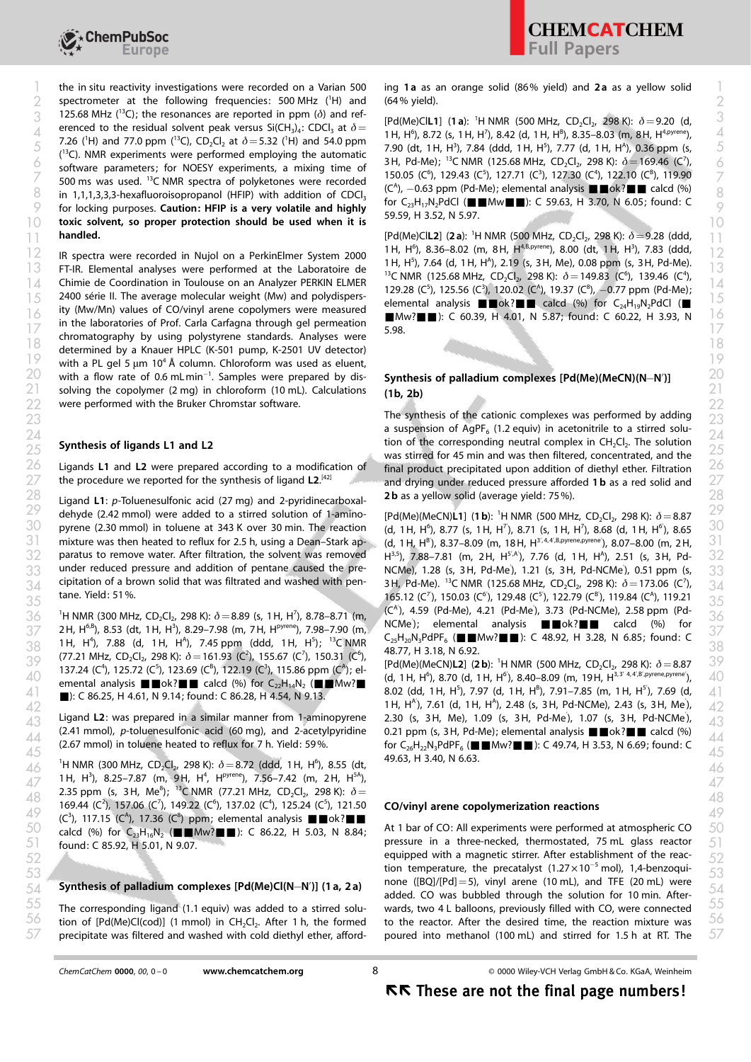

2 spectrometer at the following frequencies: 500 MHz ( $^1$ H) and (64% yield). 125.68 MHz ( $^{13}$ C); the resonances are reported in ppm ( $\delta$ ) and referenced to the residual solvent peak versus Si(CH<sub>3</sub>)<sub>4</sub>: CDCl<sub>3</sub> at  $\delta$  = 7.26 (<sup>1</sup>H) and 77.0 ppm (<sup>13</sup>C), CD<sub>2</sub>Cl<sub>2</sub> at  $\delta$  = 5.32 (<sup>1</sup>H) and 54.0 ppm (<sup>13</sup>C). NMR experiments were performed employing the automatic software parameters; for NOESY experiments, a mixing time of 500 ms was used. <sup>13</sup>C NMR spectra of polyketones were recorded  $(6)$ , 129.43 (C<sup>o</sup>), 127.71 (C<sup>o</sup>), 127.30 (C<sup>a</sup>), 122.10 (C<sup>a</sup>), 119.90  $\%$  in 1,1,1,3,3,3-hexafluoroisopropanol (HFIP) with addition of CDCl<sub>3</sub> (C<sup>o</sup>), -0.63 ppm (Pd-Me); elemental analysis  $\Box$  OK?  $\Box$  Calcd (%) For locking purposes. Caution: HFIP is a very volatile and highly  $\frac{10!}{5050 \text{ J}^2}$  is a set all  $\frac{10}{2}$  in  $\frac{10!}{2}$  is a set all  $\frac{10!}{2}$  is a set all  $\frac{10!}{2}$  is a set all  $\frac{10!}{2}$  is a set all  $\frac{10$  $10$  toxic solvent, so proper protection should be used when it is  $10$ handled. 3 125.68 MHz ("C); the resonances are reported in ppm (d) and ref-<br>crepced to the residual solvent peak versus Si(CH) : CDCL at  $\delta$  = [Pd(Me)ClL1] (1a): <sup>1</sup>H NMR (500 MHz, CD<sub>2</sub>Cl<sub>2</sub>, 298 K):  $\delta$  = 9.20 (d, 4 erenced to the residual solvent peak versus Si(CH<sub>3</sub>)<sub>4</sub>: CDCl<sub>3</sub> at  $o =$  1H, H<sup>6</sup>), 8.72 (s, 1H, H<sup>7</sup>), 8.42 (d, 1H, H<sup>B</sup>), 8.35–8.03 (m, 8H, H<sup>4,pyrene</sup>), 4  $\frac{7.90 \text{ (HJ and 77.99mu)}}{13 \text{ (MAD A)}}$  NMB overlinear two particles of the submatrix of the submatrix of  $\frac{1}{2}$ , 7.84 (ddd, 1H, H<sup>3</sup>), 7.84 (ddd, 1H, H<sup>5</sup>), 7.77 (d, 1H, H<sup>4</sup>), 0.36 ppm (s,  $\sim$  coftware parameters: for NOESY experiments a mixing time of 3H, Pd-Me); <sup>13</sup>C NMR (125.68 MHz, CD<sub>2</sub>Cl<sub>2</sub>, 298 K):  $\delta$  = 169.46 (C<sup>7</sup>), 6

FT-IR. Elemental analyses were performed at the Laboratoire de  $\frac{13}{13}$  130 141 (1.1 m) 1.25 (1.1 m) 1.25 (1.1 m) 1.25 (1.1 m) 1.25 (1.1 m) 1.25 (1.1 m) 1.25 (1.1 m) 1.25 (1.1 m) 1.25 (1.1 m) 1.25 (1.1 m) 1.25 (1.1 m) Chimie de Coordination in Toulouse on an Analyzer PERKIN ELMER 14 14  $\frac{2400 \text{ s} - 2400 \text{ s}}{15}$  2400 serie II. The average molecular weight (Mw) and polydispers-<br>
elemental analysis  $\blacksquare$  calcd (%) for C<sub>2</sub>H<sub>2</sub>N<sub>2</sub>PdCl ( $\blacksquare$  15 ity (Mw/Mn) values of CO/vinyl arene copolymers were measured in the laboratories of Prof. Carla Carfagna through gel permeation  $\frac{17}{10}$  chromatography by using polystyrene standards. Analyses were  $\frac{5.98}{10}$ determined by a Knauer HPLC (K-501 pump, K-2501 UV detector) with a PL gel 5 µm 10<sup>4</sup> Å column. Chloroform was used as eluent,  $20$  with a flow rate of 0.6 mLmin<sup>-1</sup>. Samples were prepared by dis-<br>Synthesis of palladium complexes [Pd(Me)(MeCN)(NeCN)) and  $20$ 2 Solving the copolymer (2 mg) in chloroform (10 mL). Calculations (1**b, 2b)**  $21$ 22 were performed with the Bruker Chromstar software. The contract of the contract of the contract of the contract of the contract of the contract of the contract of the contract of the contract of the contract of the cont 16 Ity (MW/Mn) values of CO/Vinyi arene copolymers were measured<br> $\blacksquare$  EMw? $\blacksquare$  EMw? $\blacksquare$  E 60.39, H 4.01, N 5.87; found: C 60.22, H 3.93, N  $\blacksquare$   $\lozenge$ 

#### Synthesis of ligands L1 and L2

Ligands L1 and L2 were prepared according to a modification of the procedure we reported for the synthesis of ligand L2.<sup>[42]</sup>

dehyde (2.42 mmol) were added to a stirred solution of 1-amino-<br>  $Pd(Me)(MeCN)$  [1] (1b): <sup>1</sup>H NMR (500 MHz, CD<sub>2</sub>Cl<sub>2</sub>, 298 K):  $\delta = 8.87$ mixture was then heated to reflux for 2.5 h, using a Dean–Stark apparatus to remove water. After filtration, the solvent was removed under reduced pressure and addition of pentane caused the precipitation of a brown solid that was filtrated and washed with pentane. Yield: 51%.

 $36$   $^{\circ}$  1H NMR (300 MHz, CD<sub>2</sub>Cl<sub>2</sub>, 298 K):  $\delta$  = 8.89 (s, 1H, H<sup>7</sup>), 8.78–8.71 (m,  $^{\circ}$  (C), 4.59 (PG-Me), 4.21 (PG-Me), 3.73 (PG-NCMe), 2.58 ppm (PG-<br>NCMe): elemental apalysis and policing the calcd (%), for 36  $2H$ ,  $H^{6,8}$ ), 8.53 (dt, 1H,  $H^3$ ), 8.29–7.98 (m, 7H,  $H^{pyrene}$ ), 7.98–7.90 (m,  $H^{10Vene}$ ); elemental analysis  $\blacksquare W^{3}$   $\blacksquare W^{5}$   $\blacksquare W^{6}$   $\blacksquare W^{7}$   $\blacksquare W^{8}$   $\blacksquare W^{8}$   $\blacksquare W^{8}$   $\blacksquare W^{8}$   $\blacksquare W^{8}$   $\blacksquare W^{8}$  $\frac{1}{100}$  1H, H<sup>4</sup>), 7.88 (d, 1H, H<sup>4</sup>), 7.45 ppm (ddd, 1H, H<sup>5</sup>); <sup>13</sup>C NMR  $\frac{1}{25}$ H<sub>20</sub>N<sub>3</sub>PdPF<sub>6</sub> ( $\blacksquare$  MW / $\blacksquare$  ): C 48.92, H 3.28, N 6.85; found: C 38 (77.21 MHz,  $CD_2Cl_2$ , 298 K):  $\delta = 161.93$  (C<sup>2</sup>), 155.67 (C<sup>7</sup>), 150.31 (C<sup>6</sup>), 137.24 (C<sup>4</sup>), 125.72 (C<sup>5</sup>), 123.69 (C<sup>B</sup>), 122.19 (C<sup>3</sup>), 115.86 ppm (C<sup>A</sup>); elemental analysis  $\blacksquare \blacksquare$  ok? $\blacksquare$  calcd (%) for C<sub>22</sub>H<sub>14</sub>N<sub>2</sub> ( $\blacksquare \blacksquare$ Mw? $\blacksquare$ ■): C 86.25, H 4.61, N 9.14; found: C 86.28, H 4.54, N 9.13.  $\frac{1}{3}$ <br>39  $\frac{1}{137}$  24 (c<sup>4</sup>) 125 72 (c<sup>5</sup>) 123 69 (c<sup>8</sup>) 122 19 (c<sup>3</sup>) 115 86 npm (c<sup>4</sup>): el-<br>59  $\frac{1}{2}$  [Pd(Me)(MeCN)**L2**] (**2b**): <sup>1</sup>H NMR (500 MHz, CD<sub>2</sub>Cl<sub>2</sub>, 298 K):  $\delta$  =8.87

Ligand L2: was prepared in a similar manner from 1-aminopyrene (2.41 mmol), p-toluenesulfonic acid (60 mg), and 2-acetylpyridine

 $\frac{1}{46}$  <sup>1</sup>H NMR (300 MHz, CD<sub>2</sub>Cl<sub>2</sub>, 298 K):  $\delta = 8.72$  (ddd, 1 H, H<sup>6</sup>), 8.55 (dt, <sup>49.05</sup>, 1 5.40, N 0.05. 1H, H<sup>3</sup>), 8.25–7.87 (m, 9H, H<sup>4</sup>, H<sup>pyrene</sup>), 7.56–7.42 (m, 2H, H<sup>5A</sup>),  $\frac{1}{4}$ ,  $\frac{1}{2}$ ,  $\frac{1}{2}$ ,  $\frac{1}{2}$ ,  $\frac{25}{2}$ ,  $\frac{25}{2}$ ,  $\frac{1}{2}$ ,  $\frac{1}{2}$ ,  $\frac{1}{2}$ ,  $\frac{1}{2}$ ,  $\frac{1}{2}$ ,  $\frac{1}{2}$ ,  $\frac{1}{2}$ ,  $\frac{1}{2}$ ,  $\frac{1}{2}$ ,  $\frac{1}{2}$ ,  $\frac{1}{2}$ ,  $\frac{1}{2}$ ,  $\frac{1}{2}$ ,  $\frac{1}{2}$ ,  $^{48}$ <br>169.44 (C<sup>2</sup>), 157.06 (C<sup>7</sup>), 149.22 (C<sup>6</sup>), 137.02 (C<sup>4</sup>), 125.24 (C<sup>5</sup>), 121.50 **CO/vinyl arene copolymerization reactions**  $(2^3)$ , 117.15 (C<sup>4</sup>), 17.36 (C<sup>8</sup>) ppm; elemental analysis  $\blacksquare$ ok? $\blacksquare$ calcd (%) for  $C_{23}H_{16}N_2$  ( $\blacksquare$ Mw? $\blacksquare$ ): C 86.22, H 5.03, N 8.84; found: C 85.92, H 5.01, N 9.07.

The in situ reactivity investigations were recorded on a Varian 500 ing 1a as an orange solid (86% yield) and 2a as a yellow solid ing 1a as an orange solid (86% yield) and 2a as a yellow solid (64% yield).

> 150.05 (C<sup>6</sup>), 129.43 (C<sup>5</sup>), 127.71 (C<sup>3</sup>), 127.30 (C<sup>4</sup>), 122.10 (C<sup>B</sup>), 119.90 (C<sup>A</sup>), -0.63 ppm (Pd-Me); elemental analysis  $\blacksquare$ ok? $\blacksquare$  calcd (%) for  $C_{23}H_{17}N_2PdCl$  ( $\blacksquare$  Mw $\blacksquare$ ): C 59.63, H 3.70, N 6.05; found: C 59.59, H 3.52, N 5.97.

IR spectra were recorded in Nujol on a PerkinElmer System 2000 12 12 [Pd(Me)ClL2] (2 a): <sup>1</sup> H NMR (500 MHz, CD2Cl2, 298 K): d=9.28 (ddd, 11 11 1H, H<sup>6</sup>), 8.36-8.02 (m, 8H, H<sup>4,B,pyrene</sup>), 8.00 (dt, 1H, H<sup>3</sup>), 7.83 (ddd, 1H, H<sup>5</sup>), 7.64 (d, 1H, H<sup>A</sup>), 2.19 (s, 3H, Me), 0.08 ppm (s, 3H, Pd-Me). <sup>13</sup>C NMR (125.68 MHz, CD<sub>2</sub>Cl<sub>2</sub>, 298 K):  $\delta = 149.83$  (C<sup>6</sup>), 139.46 (C<sup>4</sup>), 129.28 (C<sup>5</sup>), 125.56 (C<sup>3</sup>), 120.02 (C<sup>A</sup>), 19.37 (C<sup>8</sup>), -0.77 ppm (Pd-Me); elemental analysis  $\blacksquare$  ok? $\blacksquare$  calcd (%) for C<sub>24</sub>H<sub>19</sub>N<sub>2</sub>PdCl ( $\blacksquare$ 5.98.

### Synthesis of palladium complexes [Pd(Me)(MeCN)(N-N')] (1b, 2b)

28 Ligand L1: p-Toluenesulfonic acid (27 mg) and 2-pyridinecarboxal-<br>
28 **28 Ligand L1: p-Toluenesulfonic acid (27 mg) and 2-pyridinecarboxal- 2b as a yellow solid (average yield: 75 %).** The synthesis of the cationic complexes was performed by adding 23 23 a suspension of AgPF<sub>6</sub> (1.2 equiv) in acetonitrile to a stirred solution of the corresponding neutral complex in CH2Cl2. The solution 24 24  $\frac{25}{25}$  Synthesis of ligands LT and LZ<br>was stirred for 45 min and was then filtered, concentrated, and the  $26$  Ligands L1 and L2 were prepared according to a modification of final product precipitated upon addition of diethyl ether. Filtration  $26$  $27$  the procedure we reported for the synthesis of ligand L2.<sup>[42]</sup> and drying under reduced pressure afforded 1 b as a red solid and  $27$ 2**b** as a yellow solid (average yield: 75%).

30 pyrene (2.30 mmol) in toluene at 343 K over 30 min. The reaction (d, 1H, H<sup>6</sup>), 8.77 (s, 1H, H<sup>7</sup>), 8.71 (s, 1H, H<sup>7</sup>), 8.68 (d, 1H, H<sup>6</sup>), 8.65 30 [Pd(Me)(MeCN)L1] (1 b): <sup>1</sup>H NMR (500 MHz, CD<sub>2</sub>Cl<sub>2</sub>, 298 K):  $\delta = 8.87$ (d, 1H, H<sup>6</sup>), 8.77 (s, 1H, H<sup>7</sup>), 8.71 (s, 1H, H<sup>7</sup>), 8.68 (d, 1H, H<sup>6</sup>), 8.65  $31$  mixture was then heated to reflux for 2.5 h, using a Dean–Stark ap- (d, 1 H, H<sup>B</sup>), 8.37–8.09 (m, 18H, H<sup>3',4,4',B,pyrene,pyrene'</sup>), 8.07–8.00 (m, 2H,  $31$  $32$  paratus to remove water. After filtration, the solvent was removed  $H^{3.5}$ , 7.88–7.81 (m, 2H,  $H^{5/A}$ ), 7.76 (d, 1H, H<sup>A</sup>), 2.51 (s, 3H, Pd-  $32$ 33 under reduced pressure and addition of pentane caused the pre-  $NCMe$ ), 1.28 (s, 3H, Pd-Me), 1.21 (s, 3H, Pd-NCMe), 0.51 ppm (s, 33 34 cipitation of a brown solid that was filtrated and washed with pen-<br> $3H$ , Pd-Me).  $^{13}$ C NMR (125.68 MHz, CD<sub>2</sub>Cl<sub>2</sub>, 298 K):  $\delta = 173.06$  (C<sup>7</sup>),  $\frac{34}{4}$ tane. Yield: 51%.<br>  $165.12 \text{ (C}^7), 150.03 \text{ (C}^6), 129.48 \text{ (C}^5), 122.79 \text{ (C}^8), 119.84 \text{ (C}^A), 119.21 \text{ (C}^B)$ (C<sup>A'</sup>), 4.59 (Pd-Me), 4.21 (Pd-Me<sup>'</sup>), 3.73 (Pd-NCMe), 2.58 ppm (Pd-NCMe<sup>'</sup>); elemental analysis **Waller Calca (%)** for  $C_{25}H_{20}N_3PdPF_6$  ( $\blacksquare$ Mw? $\blacksquare$ ): C 48.92, H 3.28, N 6.85; found: C 48.77, H 3.18, N 6.92.

 $(2.67 \text{ mmol})$  in toluene heated to reflux for 7 h. Yield: 59%.<br> $(2.67 \text{ mmol})$  in toluene heated to reflux for 7 h. Yield: 59%.<br>A for  $C_{26}H_{22}N_3PdPF_6$  **in the set of 44** and 44 and 44 and 44 and 44 and 44 and 44 and 44  $(1, 1H, H^6)$ , 8.40–8.09 (m, 19H,  $H^{3,3'4,4'8'$ ,pyrene,pyrene'),  $40$  emerges and  $(96)$  for C. H, N.  $(1, 1H, H^6)$ , 8.70 (d, 1H,  $H^6$ ), 8.40–8.09 (m, 19H,  $H^{3,3'4,4'8'$ ,pyrene,pyrene'),  $40$  $\frac{41}{\blacksquare}$ : C 86.25, H 4.61, N 9.14; found: C 86.28, H 4.54, N 9.13, 8.02 (dd, 1H, H<sup>5</sup>), 7.97 (d, 1H, H<sup>6</sup>), 7.91–7.85 (m, 1H, H<sup>5</sup>), 7.69 (d, 4  $1H, H<sup>A</sup>$ ), 7.61 (d, 1H,  $H<sup>A</sup>$ ), 2.48 (s, 3H, Pd-NCMe), 2.43 (s, 3H, Me), 42 Ligand L2: was prepared in a similar manner from 1-aminopyrene 2.30 (s, 3H, Me), 1.09 (s, 3H, Pd-Me), 1.07 (s, 3H, Pd-NCMe),  $\frac{43}{3}$ 0.21 ppm (s, 3H, Pd-Me); elemental analysis  $\blacksquare$  ok? $\blacksquare$  calcd (%)  $\frac{44}{45}$  (2.67 mmol) in toluene heated to reflux for 7 h. Yield: 59%. for C<sub>26</sub>H<sub>22</sub>N<sub>3</sub>PdPF<sub>6</sub> (■■Mw?■■): C 49.74, H 3.53, N 6.69; found: C 45<br>45 49.63, H 3.40, N 6.63.

#### CO/vinyl arene copolymerization reactions

 $54$  Synthesis of palladium complexes [Pd(Me)Cl(N-N')] (1 a, 2 a) added CO was bubbled through the solution for 10 min. After-  $54$  $55$  The corresponding ligand (1.1 equiv) was added to a stirred solu- wards, two 4 L balloons, previously filled with CO, were connected  $55$  $56$  tion of [Pd(Me)Cl(cod)] (1 mmol) in CH<sub>2</sub>Cl<sub>2</sub>. After 1 h, the formed to the reactor. After the desired time, the reaction mixture was  $56$  $57$  precipitate was filtered and washed with cold diethyl ether, afford- poured into methanol (100 mL) and stirred for 1.5 h at RT. The  $57$  $50$  calcd (%) for  $C_{23}H_{16}N_2$  ( $\blacksquare$ Mw? $\blacksquare$ ): C 86.22, H 5.03, N 8.84; At 1 bar of CO: All experiments were performed at atmospheric CO 50  $51$  found: C 85.92, H 5.01, N 9.07. equipped with a magnetic stirrer. After establishment of the reac-52 52 tion temperature, the precatalyst  $(1.27 \times 10^{-5} \text{ mol})$ ,  $1.4$ -benzoqui-<br> $53$ <br> $53$ <br> $53$ none ( $[BQ]/[Pd] = 5$ ), vinyl arene (10 mL), and TFE (20 mL) were added. CO was bubbled through the solution for 10 min. Afterwards, two 4 L balloons, previously filled with CO, were connected to the reactor. After the desired time, the reaction mixture was poured into methanol (100 mL) and stirred for 1.5 h at RT. The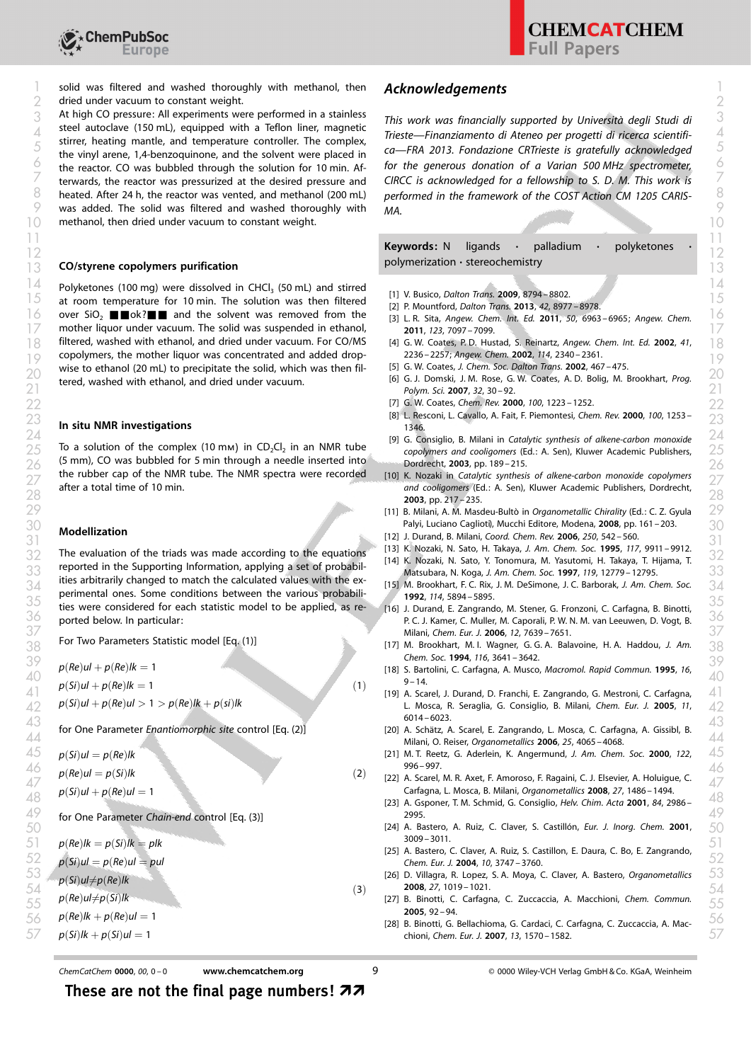

a solid was filtered and washed thoroughly with methanol, then **Acknowledgements** and the solid was filtered and washed thoroughly with methanol, then **Acknowledgements** 2 dried under vacuum to constant weight.

At high CO pressure: All experiments were performed in a stainless steel autoclave (150 mL), equipped with a Teflon liner, magnetic stirrer, heating mantle, and temperature controller. The complex, the vinyl arene, 1,4-benzoquinone, and the solvent were placed in the reactor. CO was bubbled through the solution for 10 min. Afterwards, the reactor was pressurized at the desired pressure and heated. After 24 h, the reactor was vented, and methanol (200 mL) P was added. The solid was filtered and washed thoroughly with  $MA$ . 10 methanol, then dried under vacuum to constant weight. 10 methanol. The state of the state of the state of the state of the state of the state of the state of the state of the state of the state of the state of the state 3 At high CO pressure: All experiments were performed in a stainless This work was financially supported by Università degli Studi di  $\mu$  steel autoclave (150 mL), equipped with a lefion liner, magnetic<br>  $\mu$  river botting mantle and tomporature controller. The complex<br>
Trieste—Finanziamento di Ateneo per progetti di ricerca scientifi- $5$  strilled, reading manne, and temperature controller. The complex,<br>the vinyl arene 14-benzoquinone and the solvent were placed in ca—FRA 2013. Fondazione CRTrieste is gratefully acknowledged  $\delta$  the reactor. CO was bubbled through the solution for 10 min. Af- for the generous donation of a Varian 500 MHz spectrometer,  $7$  terwards, the reactor was pressurized at the desired pressure and CCRCC is acknowledged for a fellowship to S. D. M. This work is  $7$  $8$  heated. After 24 h, the reactor was vented, and methanol (200 mL) performed in the framework of the COST Action CM 1205 CARIS-

 $\frac{14}{4}$  Polyketones (100 mg) were dissolved in CHCl<sub>3</sub> (50 mL) and stirred  $\frac{11}{4}$  V Busice Dalter Trans 2009, 8704, 8802  $15$  at room temperature for 10 min. The solution was then filtered  $\frac{111 \text{ V}}{121 \text{ P}}$  Mountford Delton Trans 2009, 8/94-8802.  $\frac{1}{2}$  over SiO<sub>2</sub> **E** ok? **E** and the solvent was removed from the  $\frac{1}{3}$  L.R. Sita, Angew. Chem. Int. Ed. 2011, 50, 6963–6965: Angew. Chem.  $\frac{1}{6}$  $17$  mother liquor under vacuum. The solid was suspended in ethanol,  $2011$ ,  $123$ ,  $7097 - 7099$ . filtered, washed with ethanol, and dried under vacuum. For CO/MS copolymers, the mother liquor was concentrated and added drop-19 19 wise to ethanol (20 mL) to precipitate the solid, which was then filtered, washed with ethanol, and dried under vacuum. 18 filtered, washed with ethanol, and dried under vacuum. For CO/MS [4] G. W. Coates, P.D. Hustad, S. Reinartz, [Angew. Chem. Int. Ed.](http://dx.doi.org/10.1002/1521-3773(20020703)41:13%3C2236::AID-ANIE2236%3E3.0.CO;2-3) 2002, 41, 18 <sup>20</sup> whis to ethanol (20 mL) to precipitate the sond, which was then meet to go at the coates, *J. Co. L. Domski, J. M. Rose, G. W. Coates, A. D. Bolig, M. Brookhart, [Prog.](http://dx.doi.org/10.1016/j.progpolymsci.2006.11.001)* <sup>20</sup> terred washed with ethanol and dried under

#### In situ NMR investigations

(5 mm), CO was bubbled for 5 min through a needle inserted into  $\frac{26}{27}$  the rubber cap of the NMR tube. The NMR spectra were recorded [10] K. Nozaki in Catalytic synthesis of alkene-carbon monoxide copolymers  $\frac{26}{27}$ after a total time of 10 min.

### Modellization

The evaluation of the triads was made according to the equations reported in the Supporting Information, applying a set of probabilities arbitrarily changed to match the calculated values with the experimental ones. Some conditions between the various probabilities were considered for each statistic model to be applied, as re-<br>3. Setties were considered for each statistic model to be applied, as re- [16] J. Durand, E. Zangrando, M. Stener, G. Fronzoni, C. Carfagna, B. Binotti, ported below. In particular:  $\frac{32}{2}$  The evaluation of the triads was made according to the equations  $\frac{13}{2}$  K. Nozaki, N. Sato, Y. Tonomura, M. Yasutomi, H. Takaya, T. Hijama, T.  $\frac{32}{2}$ Matsubara, N. Koga, [J. Am. Chem. Soc.](http://dx.doi.org/10.1021/ja973199x) 1997, 119, 12779 – 12795. 33 33  $\frac{1}{34}$  in extending charged to match the carculated values with the ex-<br> $\frac{1}{34}$  and the structure between the various probability of the structure of the structure of the structure of the structure of the structure  $\frac{36}{\sqrt{25}}$  ported below. In particular:  $\frac{36}{\sqrt{25}}$  and the set of the set of the set of the set of the set of the set of the set of the set of the set of the set of the set of the set of the set of the set of the

For Two Parameters Statistic model [Eq. (1)]

 $p(Re)$ ul +  $p(Re)$ lk = 1

 $p(Si)ul + p(Re)lk = 1$ 

 $p(Si)ul + p(Re)ul > 1 > p(Re)lk + p(ii)lk$ 

for One Parameter Enantiomorphic site control [Eq. (2)]

 $p(Si)$ ul =  $p(Re)$ lk

 $p(Re)$ ul =  $p(Si)$ lk

 $p(Si)ul + p(Re)ul = 1$ 

 $p(Re)lk = p(Si)lk = plk$  $p(Si)$ ul $\neq$ p $(Re)$ lk  $p(Re)$ ul $\neq$ p $(Si)$ lk  $p(Re)lk + p(Re)ul = 1$ 

 $p(Si)lk + p(Si)ul = 1$ 

# Acknowledgements

MA.

#### 13 CO/styrene copolymers purification<br>
13 Keywords: N ligands · palladium · polyketones polymerization · stereochemistry  $\frac{1}{1}$ 12 12

- [1] V. Busico, [Dalton Trans.](http://dx.doi.org/10.1039/b911862b) 2009, 8794 8802.
- [2] P. Mountford, [Dalton Trans.](http://dx.doi.org/10.1039/c3dt90070c) 2013, 42, 8977 8978.
- [3] L. R. Sita, [Angew. Chem. Int. Ed.](http://dx.doi.org/10.1002/anie.201101913) 2011, 50, 6963-6965; [Angew. Chem.](http://dx.doi.org/10.1002/ange.201101913) 2011, 123[, 7097 – 7099.](http://dx.doi.org/10.1002/ange.201101913)
- [2236 2257](http://dx.doi.org/10.1002/1521-3773(20020703)41:13%3C2236::AID-ANIE2236%3E3.0.CO;2-3); [Angew. Chem.](http://dx.doi.org/10.1002/1521-3757(20020703)114:13%3C2340::AID-ANGE2340%3E3.0.CO;2-Z) 2002, 114, 2340 2361.
- [5] G. W. Coates, [J. Chem. Soc. Dalton Trans.](http://dx.doi.org/10.1039/b111226k) 2002, 467-475.
- $P_0$ olym. Sci. 2007, 32, 30–92.<br>[Polym. Sci.](http://dx.doi.org/10.1016/j.progpolymsci.2006.11.001) 2007, 32, 30–92.
- $22$  22 22 22 22 22 22 22 23 23 24 25 26 27 27  $\mu$  G. W. Coates, [Chem. Rev.](http://dx.doi.org/10.1021/cr990286u) 2000, 100[, 1223 1252.](http://dx.doi.org/10.1021/cr990286u)
- $\begin{bmatrix} 23 \\ 124 \\ 234 \\ 246 \end{bmatrix}$  L. Resconi, L. Cavallo, A. Fait, F. Piemontesi, [Chem. Rev.](http://dx.doi.org/10.1021/cr9804691) 2000, 100, 1253  $\begin{bmatrix} 23 \\ 23 \\ 234 \\ 236 \end{bmatrix}$ [1346.](http://dx.doi.org/10.1021/cr9804691)
- $25$  To a solution of the complex (10 mm) in CD<sub>2</sub>Cl<sub>2</sub> in an NMR tube copolymers and cooligomers (Ed.: A. Sen), Kluwer Academic Publishers,  $25$  $24$   $\cdots$   $\cdots$   $\cdots$   $\cdots$   $\cdots$   $\cdots$   $\cdots$   $\cdots$  [9] G. Consiglio, B. Milani in Catalytic synthesis of alkene-carbon monoxide  $24$ copolymers and cooligomers (Ed.: A. Sen), Kluwer Academic Publishers, Dordrecht, 2003, pp. 189 – 215.
- the rubber cap of the NMR tube. The NMR spectra were recorded [10] K. Nozaki in Catalytic synthesis of alkene-carbon monoxide copolymers 27<br>27 20ther a total time of 10 min and cooligomers (Ed.: A. Sen), Kluwer Academic Publishers, Dordrecht,  $\frac{28}{28}$  and cooligomers (Ed.: A. Sen), Kluwer Academic Publishers, Dordrecht,  $\frac{28}{28}$ 2003, pp. 217 – 235.
- [11] B. Milani, A. M. Masdeu-Bult in Organometallic Chirality (Ed.: C. Z. Gyula 29 29 Palyi, Luciano Caglioti), Mucchi Editore, Modena, 2008, pp. 161 – 203. 30 30
	- [12] J. Durand, B. Milani, [Coord. Chem. Rev.](http://dx.doi.org/10.1016/j.ccr.2005.08.012) 2006, 250, 542-560.
- $\frac{1}{2}$  EV J. Durang, B. Milani, Coord. Chem. Kev. 2006, 250, 542-560.<br>31 K. Nozaki, N. Sato, H. Takaya, [J. Am. Chem. Soc.](http://dx.doi.org/10.1021/ja00144a018) 1995, 117, 9911-9912.
	-
- 1992, 114[, 5894 5895.](http://dx.doi.org/10.1021/ja00040a082) [16] J. Durand, E. Zangrando, M. Stener, G. Fronzoni, C. Carfagna, B. Binotti, 37 Milani, [Chem. Eur. J.](http://dx.doi.org/10.1002/chem.200501047) 2006, 12, 7639–7651. 37
- $\frac{1}{38}$  Tor Two Parameters Statistic Hiouer [Eq. (1)] M. Strookhart, M. I. Wagner, G. G. A. Balavoine, H. A. Haddou, [J. Am.](http://dx.doi.org/10.1021/ja00087a077)  $\frac{1}{38}$ [Chem. Soc.](http://dx.doi.org/10.1021/ja00087a077) 1994, 116[, 3641 – 3642](http://dx.doi.org/10.1021/ja00087a077).
- $p(Re)$ ul +  $p(Re)$ lk = 1<br>39 39 39 39 39 18] S. Bartolini, C. Carfagna, A. Musco, [Macromol. Rapid Commun.](http://dx.doi.org/10.1002/marc.1995.030160102) 1995, 16,  $9 - 14.$  $\frac{40}{2}$   $\frac{9-14}{10}$   $\frac{9-14}{10}$   $\frac{10}{10}$   $\frac{9-14}{10}$   $\frac{10}{10}$   $\frac{10}{10}$   $\frac{10}{10}$   $\frac{10}{10}$   $\frac{10}{10}$   $\frac{10}{10}$   $\frac{10}{10}$   $\frac{10}{10}$   $\frac{10}{10}$   $\frac{10}{10}$   $\frac{10}{10}$   $\frac{10}{10}$   $\frac{10}{10}$
- [19] A. Scarel, J. Durand, D. Franchi, E. Zangrando, G. Mestroni, C. Carfagna, 41 41  $\mu$ 2  $p$ (Sr)*ul* +  $p$ (*Re*)*ul* > 1 >  $p$ (*Re*)*lk* +  $p$ (*sr*)*lk*  $\mu$ 2 +  $p$ (*sr*)*lk* +  $p$ (*sr*)*lk* +  $p$ (*sr*)*lk* +  $p$ (*sr*)*lk* +  $p$ (*sr*)*lk* +  $p$ (*sr*)*lk* +  $p$ (*sr*)*lk* +  $p$ (*sr*)*lk* +  $p$ (*sr*)*lk* + [6014 – 6023](http://dx.doi.org/10.1002/chem.200500410).
- 6014-0023.<br>13 for One Parameter *Enantiomorphic site* control [Eq. (2)] for One Parameter *Enantiomorphic site* control [Eq. (2)] 1.0.1 Che Furamenter Enamentally, and Senator (Eq. (2), the senator (Eq. (4), and the conduct of the conduction<br>Milani, O. Reiser, [Organometallics](http://dx.doi.org/10.1021/om060424n) 2006, 25, 4065 – 4068.
- $\mu(S)$   $\mu(S)$   $\mu(I = p(Re)$   $\mu$ [996 – 997.](http://dx.doi.org/10.1021/ja9930566)
- $p(Re)$ ul =  $p(Si)$ lk (2)  $p(Re)$  (2)  $p(Re)$ ul =  $p(Si)$ lk (2)  $p(Re)$  (2)  $p(Re)$ ul =  $p(Si)$ lk (2)  $p(Si)$ lk (2)  $p(Si)$ Carfagna, L. Mosca, B. Milani, [Organometallics](http://dx.doi.org/10.1021/om7011858) 2008, 27, 1486 – 1494.  $\frac{1}{2}$  A. Scarely, M. K. Axet, F. Amoroso, F. Kaping M. M. Axet, F. Amoroso, F. Amoroso, F. Amoroso, F. Amoroso, F. Amoroso, F. Amoroso, F. Amoroso, F. Amoroso, F. Amoroso, F. Amoroso, F. Amoroso, F. Amoroso, F. Amoros
- **a** for One Parameter Chain-end control [Eq. (3)]  $\frac{49}{2995}$  $(23)$  A. Gsponer, T. M. Schmid, G. Consiglio, [Helv. Chim. Acta](http://dx.doi.org/10.1002/1522-2675(20011017)84:10%3C2986::AID-HLCA2986%3E3.0.CO;2-R) 2001, 84, 2986 –  $48$ [2995.](http://dx.doi.org/10.1002/1522-2675(20011017)84:10%3C2986::AID-HLCA2986%3E3.0.CO;2-R)
- $(24)$  A. Bastero, A. Ruiz, C. Claver, S. Castillón, *[Eur. J. Inorg. Chem.](http://dx.doi.org/10.1002/1099-0682(200112)2001:12%3C3009::AID-EJIC3009%3E3.0.CO;2-8)* 2001,  $50$ [3009 – 3011.](http://dx.doi.org/10.1002/1099-0682(200112)2001:12%3C3009::AID-EJIC3009%3E3.0.CO;2-8)
- $\frac{52}{2}$   $p(5i)ul = p(Re)ul = pul$  (bem. Eur. J. 2004, 10, 3747 3760.  $[25]$  A. Bastero, C. Claver, A. Ruiz, S. Castillon, E. Daura, C. Bo, E. Zangrando,  $[25]$  A. Bastero, C. Claver, A. Ruiz, S. Castillon, E. Daura, C. Bo, E. Zangrando,  $[25]$  A. Bastero, C. Claver, A. Ruiz, S. Castillon, [Chem. Eur. J.](http://dx.doi.org/10.1002/chem.200306051) 2004, 10[, 3747 – 3760.](http://dx.doi.org/10.1002/chem.200306051)
- $53$   $\sim$ n(Si)ul  $\sim$ n(Re)|k 2008, 27[, 1019 – 1021.](http://dx.doi.org/10.1021/om700524v)  $54$   $(3)$  **2008**, 27, 1019–1021.
- $(27)$  B. Binotti, C. Carfagna, C. Zuccaccia, A. Macchioni, [Chem. Commun.](http://dx.doi.org/10.1039/b411214h)  $55$ <br>2005 03. 04. 2005 03. 04. 2005 03. 04. 2005 03. 04. 2006 03. 04. 2006 03. 04. 2006 03. 04. 2006 03. 04. 2006 0 [2005](http://dx.doi.org/10.1039/b411214h)[, 92 – 94](http://dx.doi.org/10.1039/b411214h).
- $(28)$  B. Binotti, G. Bellachioma, G. Cardaci, C. Carfagna, C. Zuccaccia, A. Mac- $57$   $p(Si)lk + p(Si)ul = 1$  57

 $(2)$ 

 $(3)$ 

 $(1)$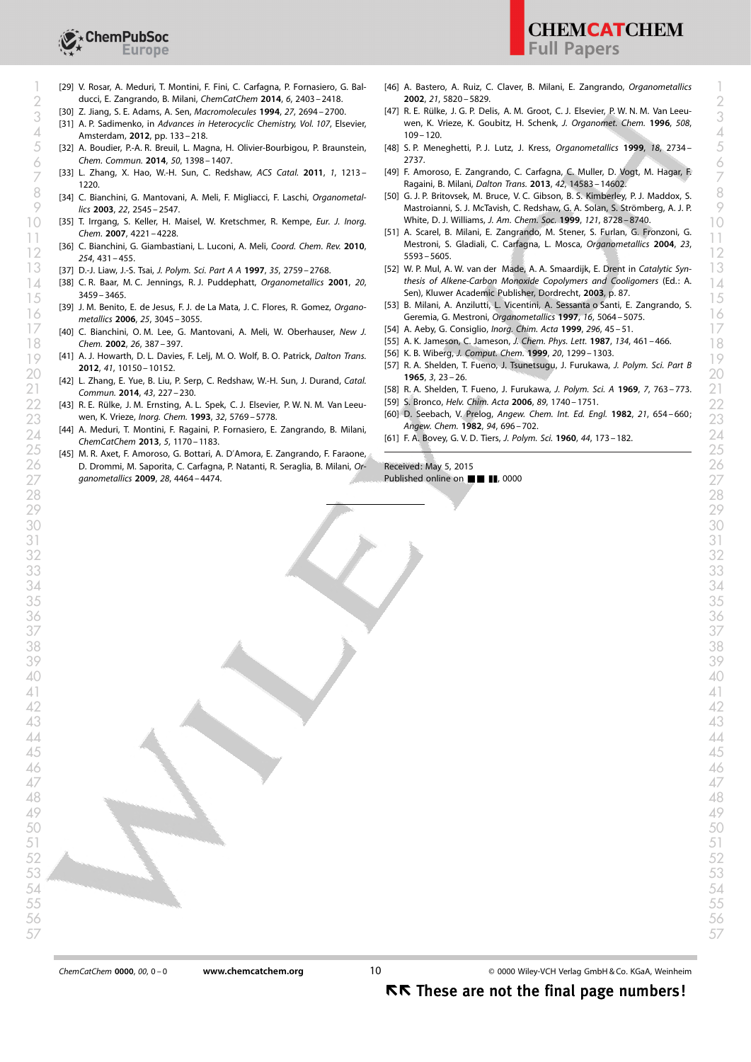

- ducci, E. Zangrando, B. Milani, [ChemCatChem](http://dx.doi.org/10.1002/cctc.201402192) 2014, 6, 2403 2418. 2 2
	- [30] Z. Jiang, S. E. Adams, A. Sen, [Macromolecules](http://dx.doi.org/10.1021/ma00088a007) 1994, 27, 2694-2700.
- Amsterdam, 2012, pp. 133–218. 4 109–120.
- $5\quad$  [32] A. Boudier, P.-A. R. Breuil, L. Magna, H. Olivier-Bourbigou, P. Braunstein,  $\quad$  [48] S. P. Meneghetti, P. J. Lutz, J. Kress, *Organometallics* 1999, 18, 2734-  $\quad$   $5$ [Chem. Commun.](http://dx.doi.org/10.1039/c3cc47834c) 2014, 50, 1398 – 1407.
- [33] L. Zhang, X. Hao, W.-H. Sun, C. Redshaw, [ACS Catal.](http://dx.doi.org/10.1021/cs200308b) 2011, 1, 1213 6 6 [1220.](http://dx.doi.org/10.1021/cs200308b)  $\frac{1}{2}$  L. Zhang, X. Hao, W.-H. Sun, C. Reushaw, ACS Calal. 2011, T, 1215 – (1491) T. Aniotoso, C. Zangrando, C. Ganagna, C. Mullet, D. Vogt, M. Hagai, T.  $\frac{1}{2}$
- [34] C. Bianchini, G. Mantovani, A. Meli, F. Migliacci, F. Laschi, [Organometal](http://dx.doi.org/10.1021/om030227d)lics 2003, 22[, 2545 – 2547](http://dx.doi.org/10.1021/om030227d). [34] C. Bianchini, G. Mantovani, A. Meli, F. Migliacci, F. Laschi, *Organometal* [50] G. J. P. Britovsek, M. Bruce, V. C. Gibson, B. S. Kimberley, P. J. Maddox, S.  $\%$  Mastroianni, S. J. McTavish, C. Redshaw, G. A. Solan, S. Strömberg, A. J. P.  $\%$
- $[35]$  T. Irrgang, S. Keller, H. Maisel, W. Kretschmer, R. Kempe, *[Eur. J. Inorg.](http://dx.doi.org/10.1002/ejic.200700322)* White, D. J. Williams, J. Am. Chem. Soc. 1999, 121, 8728–8740. Chem. 2007[, 4221 – 4228.](http://dx.doi.org/10.1002/ejic.200700322)
- $\frac{12}{2}$  [36] C. Bianchini, G. Giambastiani, L. Luconi, A. Meli, [Coord. Chem. Rev.](http://dx.doi.org/10.1016/j.ccr.2009.07.013) 2010, Nestroni, S. Gladiali, C. Cartagna, L. Mosca, Organometallics 2004, 23, 19<br>12 254[, 431 – 455.](http://dx.doi.org/10.1016/j.ccr.2009.07.013)
	- [37] D.-J. Liaw, J.-S. Tsai, [J. Polym. Sci. Part A A](http://dx.doi.org/10.1002/(SICI)1099-0518(19970930)35:13%3C2759::AID-POLA21%3E3.0.CO;2-9) 1997, 35, 2759 2768.
- $\sim$  [38] C. R. Baar, M. C. Jennings, R. J. Puddephatt, [Organometallics](http://dx.doi.org/10.1021/om0102706) 2001, 20, thesis of Alkene-Carbon Monoxide Copolymers and Cooligomers (Ed.: A.  $\sim$  1 [3459 – 3465](http://dx.doi.org/10.1021/om0102706).
- [39] J. M. Benito, E. de Jesus, F. J. de La Mata, J. C. Flores, R. Gomez, [Organo](http://dx.doi.org/10.1021/om0601044)[metallics](http://dx.doi.org/10.1021/om0601044) 2006, 25[, 3045 – 3055.](http://dx.doi.org/10.1021/om0601044)  $\frac{1}{6}$  metallics 2006. 25. 3045–3055. The Latimate, J. C. Holes, H. Gomez, Organomeral Geremia, G. Mestroni, [Organometallics](http://dx.doi.org/10.1021/om9703954) 1997, 16, 5064–5075. The metallics 1907, 16, 5064–5075.
- $17$  [40] C. Bianchini, O.M. Lee, G. Mantovani, A. Meli, W. Oberhauser, [New J.](http://dx.doi.org/10.1039/b108804c) [54] A. Aeby, G. Consiglio, Inorg. Chim. Acta 1999, 296, 45-51. [Chem.](http://dx.doi.org/10.1039/b108804c) 2002, 26[, 387 – 397](http://dx.doi.org/10.1039/b108804c). 18 Chem. 2002, 26, 387 – 397. (1898) 1993 (1898) 1994. (1898) 1994. (1898) 1994. (1898) 1997, 1998, 1997, 1997, 1997, 1998, 2002, 2003, 2009, 2009, 2009, 2009, 2009, 2009, 2009, 2009, 2009, 2009, 2009, 2009, 2009, 2009, 20
- [41] A. J. Howarth, D. L. Davies, F. Lelj, M. O. Wolf, B. O. Patrick, [Dalton Trans.](http://dx.doi.org/10.1039/c2dt31120h) [50] K. B. WIDerg, J. Comput. Chem. 1999, 20, 1299–1303.<br>[57] R. A. Shelden T. Fueno, J. Tsunetsugu J. Furukawa, J. Polym. Sci. Part. R. 2012, 41[, 10150 – 10152](http://dx.doi.org/10.1039/c2dt31120h).
- [Commun.](http://dx.doi.org/10.1016/j.catcom.2013.10.014) 2014, 43[, 227 230.](http://dx.doi.org/10.1016/j.catcom.2013.10.014) [58] R. A. Shelden, T. Fueno, J. Furukawa, [J. Polym. Sci. A](http://dx.doi.org/10.1002/pol.1969.160070502) 1969, 7, 763 – 773. 21 21
- 22 [43] R. E. Rülke, J. M. Ernsting, A. L. Spek, C. J. Elsevier, P. W. N. M. Van Leeu- [59] S. Bronco, Helv. Chim. Acta 2006, 89, 1740–1751.
- [44] A. Meduri, T. Montini, F. Ragaini, P. Fornasiero, E. Zangrando, B. Milani, [ChemCatChem](http://dx.doi.org/10.1002/cctc.201200520) 2013, 5, 1170 – 1183.  $24$  ( $^{144}$  A. Meduri, I. Montini, F. Ragann, F. Fornasiero, E. Zangrando, B. Milani,<br>24 *ChemCatChem* 2013 5 1170–1183
- [45] M. R. Axet, F. Amoroso, G. Bottari, A. D'Amora, E. Zangrando, F. Faraone, 25 25  $26$   $\,$  D. Drommi, M. Saporita, C. Carfagna, P. Natanti, R. Seraglia, B. Milani, *Or*- Received: May 5, 2015  $\,$   $\,$  $27$  [ganometallics](http://dx.doi.org/10.1021/om900300w) 2009, 28, 4464 – 4474.
- [29] V. Rosar, A. Meduri, T. Montini, F. Fini, C. Carfagna, P. Fornasiero, G. Bal- [46] A. Bastero, A. Ruiz, C. Claver, B. Milani, E. Zangrando, Organometallics [ [46] A. Bastero, A. Ruiz, C. Claver, B. Milani, E. Zangrando, [Organometallics](http://dx.doi.org/10.1021/om020568b) 2002, 21[, 5820 – 5829.](http://dx.doi.org/10.1021/om020568b)
- [30] Z. Jiang, S. E. Adams, A. Sen, Macromolecules 1994, 27, 2094–2700.<br>[31] A. P. Sadimenko, in Advances in Heterocyclic Chemistry, Vol. 107, Elsevier, wen, K. Vrieze, K. Goubitz, H. Schenk, J. Organomet. Chem. 1996, 508, [47] R. E. Rülke, J. G. P. Delis, A. M. Groot, C. J. Elsevier, P. W. N. M. Van Leeu-wen, K. Vrieze, K. Goubitz, H. Schenk, [J. Organomet. Chem.](http://dx.doi.org/10.1016/0022-328X(95)05825-A) 1996, 508,  $109 - 120$ .
	- [48] S. P. Meneghetti, P. J. Lutz, J. Kress, [Organometallics](http://dx.doi.org/10.1021/om990165k) 1999, 18, 2734-[2737.](http://dx.doi.org/10.1021/om990165k)
	- [49] F. Amoroso, E. Zangrando, C. Carfagna, C. Muller, D. Vogt, M. Hagar, F.
	- White, D. J. Williams, [J. Am. Chem. Soc.](http://dx.doi.org/10.1021/ja990449w) 1999, 121, 8728 8740.
- [51] A. Scarel, B. Milani, E. Zangrando, M. Stener, S. Furlan, G. Fronzoni, G. 11 Chem. 2007, 4221-4228.<br>11 12: Mestroni, S. Gladiali, C. Carfagna, L. Mosca, [Organometallics](http://dx.doi.org/10.1021/om0493412) 2004, 23, [11] 11. Mosca, Organometallics 2004, 23, [11] 11. Mosca, Organometallics 2004, 23, [11] 11. Mosca, Organometallics 2 [5593 – 5605](http://dx.doi.org/10.1021/om0493412).
- $13$  [37] D.-J. Liaw, J.-S. Tsai, J. Polym. Sci. Part A A 1997, 35, 2759–2768. [52] W. P. Mul, A. W. van der Made, A. A. Smaardijk, E. Drent in Catalytic Syn-  $13$ thesis of Alkene-Carbon Monoxide Copolymers and Cooligomers (Ed.: A. Sen), Kluwer Academic Publisher, Dordrecht, 2003, p. 87.
- 53459-3465.<br>15 15 1591 J. M. Benito, E. de Jesus, F. J. de La Mata, J. C. Flores, R. Gomez, *Organo* [53] B. Milani, A. Anzilutti, L. Vicentini, A. Sessanta o Santi, E. Zangrando, S.
	- [54] A. Aeby, G. Consiglio, [Inorg. Chim. Acta](http://dx.doi.org/10.1016/S0020-1693(99)00302-3) 1999, 296, 45 51.
	-
	- [56] K. B. Wiberg, [J. Comput. Chem.](http://dx.doi.org/10.1002/(SICI)1096-987X(199909)20:12%3C1299::AID-JCC10%3E3.0.CO;2-F) 1999, 20, 1299 1303.
- $\frac{20}{1965}$ ,  $\frac{2012}{3721}$ ,  $\frac{2012}{3721}$ ,  $\frac{200}{2721}$ ,  $\frac{1965}{37}$ ,  $\frac{23}{26}$ . [57] R. A. Shelden, T. Fueno, J. Tsunetsugu, J. Furukawa, [J. Polym. Sci. Part B](http://dx.doi.org/10.1002/pol.1965.110030107) [1965](http://dx.doi.org/10.1002/pol.1965.110030107), 3[, 23 – 26.](http://dx.doi.org/10.1002/pol.1965.110030107)
	-
	- [59] S. Bronco, [Helv. Chim. Acta](http://dx.doi.org/10.1002/hlca.200690171) 2006, 89, 1740 1751.
- $23$  wen, K. Vrieze, Inorg. Chem. 1993, 32, 5769–5778.<br>23 23 24 696–702 23 24 696–702 23 24 696–702 23 24 696–702 23 24 696–702 23 24 696–702 23 24 696–702 23 24 696 [60] D. Seebach, V. Prelog, [Angew. Chem. Int. Ed. Engl.](http://dx.doi.org/10.1002/anie.198206541) 1982, 21, 654-660; Angew. Chem. 1982, 94, 696 – 702.
	-

Received: May 5, 2015 Published online on  $\blacksquare$   $\blacksquare$   $\blacksquare$ , 0000